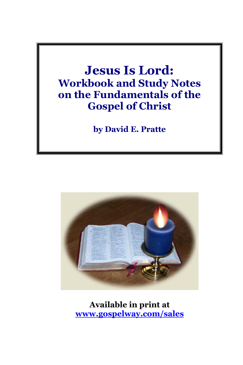# **Jesus Is Lord: Workbook and Study Notes on the Fundamentals of the Gospel of Christ**

**by David E. Pratte**



**Available in print at [www.gospelway.com/sales](https://www.gospelway.com/sales)**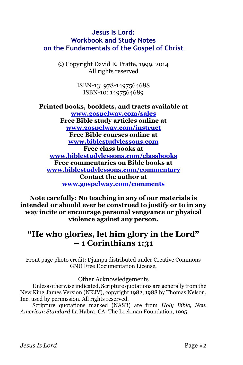# **Jesus Is Lord: Workbook and Study Notes on the Fundamentals of the Gospel of Christ**

© Copyright David E. Pratte, 1999, 2014 All rights reserved

> ISBN-13: 978-1497564688 ISBN-10: 1497564689

**Printed books, booklets, and tracts available at [www.gospelway.com/sales](https://www.gospelway.com/sales) Free Bible study articles online at [www.gospelway.com/instruct](http://www.gospelway.com/) Free Bible courses online at [www.biblestudylessons.com](http://www.biblestudylessons.com/) Free class books at [www.biblestudylessons.com/classbooks](http://www.biblestudylessons.com/classbooks) Free commentaries on Bible books at [www.biblestudylessons.com/commentary](https://www.biblestudylessons.com/commentary) Contact the author at [www.gospelway.com/comments](http://www.gospelway.com/comments)**

**Note carefully: No teaching in any of our materials is intended or should ever be construed to justify or to in any way incite or encourage personal vengeance or physical violence against any person.**

# **"He who glories, let him glory in the Lord" – 1 Corinthians 1:31**

Front page photo credit: Djampa distributed under Creative Commons GNU Free Documentation License,

#### Other Acknowledgements

Unless otherwise indicated, Scripture quotations are generally from the New King James Version (NKJV), copyright 1982, 1988 by Thomas Nelson, Inc. used by permission. All rights reserved.

Scripture quotations marked (NASB) are from *Holy Bible, New American Standard* La Habra, CA: The Lockman Foundation, 1995.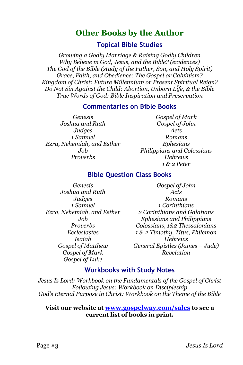# **Other Books by the Author**

**Topical Bible Studies**

*Growing a Godly Marriage & Raising Godly Children Why Believe in God, Jesus, and the Bible? (evidences) The God of the Bible (study of the Father, Son, and Holy Spirit) Grace, Faith, and Obedience: The Gospel or Calvinism? Kingdom of Christ: Future Millennium or Present Spiritual Reign? Do Not Sin Against the Child: Abortion, Unborn Life, & the Bible True Words of God: Bible Inspiration and Preservation*

#### **Commentaries on Bible Books**

*Genesis Joshua and Ruth Judges 1 Samuel Ezra, Nehemiah, and Esther Job Proverbs*

*Gospel of Mark Gospel of John Acts Romans Ephesians Philippians and Colossians Hebrews 1 & 2 Peter*

## **Bible Question Class Books**

*Genesis Joshua and Ruth Judges 1 Samuel Ezra, Nehemiah, and Esther Job Proverbs Ecclesiastes Isaiah Gospel of Matthew Gospel of Mark Gospel of Luke*

*Gospel of John Acts Romans 1 Corinthians 2 Corinthians and Galatians Ephesians and Philippians Colossians, 1&2 Thessalonians 1 & 2 Timothy, Titus, Philemon Hebrews General Epistles (James – Jude) Revelation*

#### **Workbooks with Study Notes**

*Jesus Is Lord: Workbook on the Fundamentals of the Gospel of Christ Following Jesus: Workbook on Discipleship God's Eternal Purpose in Christ: Workbook on the Theme of the Bible*

#### **Visit our website at [www.gospelway.com/sales](https://www.gospelway.com/sales) to see a current list of books in print.**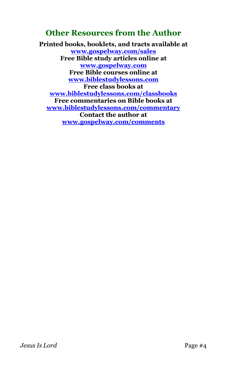# **Other Resources from the Author**

**Printed books, booklets, and tracts available at [www.gospelway.com/sales](https://www.gospelway.com/sales) Free Bible study articles online at [www.gospelway.com](http://www.gospelway.com/) Free Bible courses online at [www.biblestudylessons.com](http://www.biblestudylessons.com/) Free class books at [www.biblestudylessons.com/classbooks](http://www.biblestudylessons.com/classbooks) Free commentaries on Bible books at [www.biblestudylessons.com/commentary](https://www.biblestudylessons.com/commentary) Contact the author at [www.gospelway.com/comments](http://www.gospelway.com/comments)**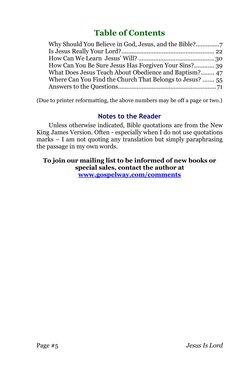# **Table of Contents**

| What Does Jesus Teach About Obedience and Baptism? 47    |
|----------------------------------------------------------|
| Where Can You Find the Church That Belongs to Jesus?  55 |
|                                                          |
|                                                          |

(Due to printer reformatting, the above numbers may be off a page or two.)

# **Notes to the Reader**

Unless otherwise indicated, Bible quotations are from the New King James Version. Often - especially when I do not use quotations marks – I am not quoting any translation but simply paraphrasing the passage in my own words.

**To join our mailing list to be informed of new books or special sales, contact the author at [www.gospelway.com/comments](http://www.gospelway.com/comments)**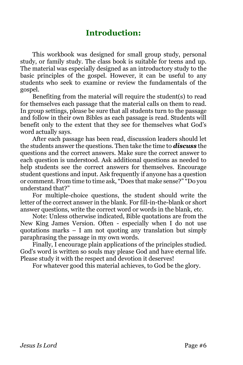# **Introduction:**

This workbook was designed for small group study, personal study, or family study. The class book is suitable for teens and up. The material was especially designed as an introductory study to the basic principles of the gospel. However, it can be useful to any students who seek to examine or review the fundamentals of the gospel.

Benefiting from the material will require the student(s) to read for themselves each passage that the material calls on them to read. In group settings, please be sure that all students turn to the passage and follow in their own Bibles as each passage is read. Students will benefit only to the extent that they see for themselves what God's word actually says.

After each passage has been read, discussion leaders should let the students answer the questions. Then take the time to *discuss* the questions and the correct answers. Make sure the correct answer to each question is understood. Ask additional questions as needed to help students see the correct answers for themselves. Encourage student questions and input. Ask frequently if anyone has a question or comment. From time to time ask, "Does that make sense?" "Do you understand that?"

For multiple-choice questions, the student should write the letter of the correct answer in the blank. For fill-in-the-blank or short answer questions, write the correct word or words in the blank, etc.

Note: Unless otherwise indicated, Bible quotations are from the New King James Version. Often - especially when I do not use quotations marks – I am not quoting any translation but simply paraphrasing the passage in my own words.

Finally, I encourage plain applications of the principles studied. God's word is written so souls may please God and have eternal life. Please study it with the respect and devotion it deserves!

For whatever good this material achieves, to God be the glory.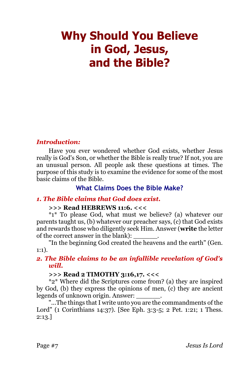# <span id="page-6-0"></span>**Why Should You Believe in God, Jesus, and the Bible?**

#### *Introduction:*

Have you ever wondered whether God exists, whether Jesus really is God's Son, or whether the Bible is really true? If not, you are an unusual person. All people ask these questions at times. The purpose of this study is to examine the evidence for some of the most basic claims of the Bible.

# **What Claims Does the Bible Make?**

#### *1. The Bible claims that God does exist.*

#### **>>> Read HEBREWS 11:6. <<<**

\*1\* To please God, what must we believe? (a) whatever our parents taught us, (b) whatever our preacher says, (c) that God exists and rewards those who diligently seek Him. Answer (**write** the letter of the correct answer in the blank):

"In the beginning God created the heavens and the earth" (Gen. 1:1).

#### *2. The Bible claims to be an infallible revelation of God's will.*

## **>>> Read 2 TIMOTHY 3:16,17. <<<**

\*2\* Where did the Scriptures come from? (a) they are inspired by God, (b) they express the opinions of men, (c) they are ancient legends of unknown origin. Answer: \_\_\_\_\_\_.

"...The things that I write unto you are the commandments of the Lord" (1 Corinthians 14:37). [See Eph. 3:3-5; 2 Pet. 1:21; 1 Thess. 2:13.]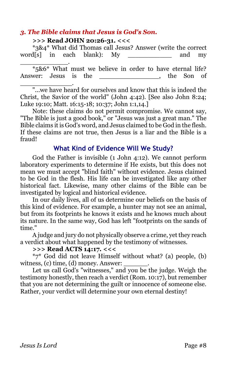## *3. The Bible claims that Jesus is God's Son.*

#### **>>> Read JOHN 20:26-31. <<<**

\*3&4\* What did Thomas call Jesus? Answer (write the correct word[s] in each blank): My \_\_\_\_\_\_\_\_\_\_\_ and my

\_\_\_\_\_\_\_\_\_\_\_\_. \*5&6\* What must we believe in order to have eternal life? Answer: Jesus is the the son of \_\_\_\_\_\_\_\_\_\_\_\_\_.

"...we have heard for ourselves and know that this is indeed the Christ, the Savior of the world" (John 4:42). [See also John 8:24; Luke 19:10; Matt. 16:15-18; 10:37; John 1:1,14.]

Note: these claims do not permit compromise. We cannot say, "The Bible is just a good book," or "Jesus was just a great man." The Bible claims it is God's word, and Jesus claimed to be God in the flesh. If these claims are not true, then Jesus is a liar and the Bible is a fraud!

## **What Kind of Evidence Will We Study?**

God the Father is invisible (1 John 4:12). We cannot perform laboratory experiments to determine if He exists, but this does not mean we must accept "blind faith" without evidence. Jesus claimed to be God in the flesh. His life can be investigated like any other historical fact. Likewise, many other claims of the Bible can be investigated by logical and historical evidence.

In our daily lives, all of us determine our beliefs on the basis of this kind of evidence. For example, a hunter may not see an animal, but from its footprints he knows it exists and he knows much about its nature. In the same way, God has left "footprints on the sands of time."

A judge and jury do not physically observe a crime, yet they reach a verdict about what happened by the testimony of witnesses.

#### **>>> Read ACTS 14:17. <<<**

\*7\* God did not leave Himself without what? (a) people, (b) witness,  $(c)$  time,  $(d)$  money. Answer:

Let us call God's "witnesses," and you be the judge. Weigh the testimony honestly, then reach a verdict (Rom. 10:17), but remember that you are not determining the guilt or innocence of someone else. Rather, your verdict will determine your own eternal destiny!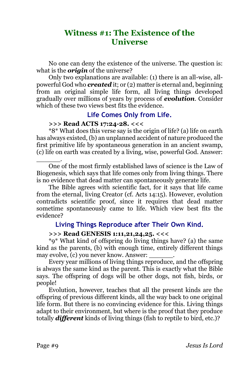# **Witness #1: The Existence of the Universe**

No one can deny the existence of the universe. The question is: what is the *origin* of the universe?

Only two explanations are available: (1) there is an all-wise, allpowerful God who *created* it; or (2) matter is eternal and, beginning from an original simple life form, all living things developed gradually over millions of years by process of *evolution*. Consider which of these two views best fits the evidence.

## **Life Comes Only from Life.**

#### **>>> Read ACTS 17:24-28. <<<**

\*8\* What does this verse say is the origin of life? (a) life on earth has always existed, (b) an unplanned accident of nature produced the first primitive life by spontaneous generation in an ancient swamp, (c) life on earth was created by a living, wise, powerful God. Answer:

\_\_\_\_\_\_. One of the most firmly established laws of science is the Law of Biogenesis, which says that life comes only from living things. There is no evidence that dead matter can spontaneously generate life.

The Bible agrees with scientific fact, for it says that life came from the eternal, living Creator (cf. Acts 14:15). However, evolution contradicts scientific proof, since it requires that dead matter sometime spontaneously came to life. Which view best fits the evidence?

# **Living Things Reproduce after Their Own Kind.**

#### **>>> Read GENESIS 1:11,21,24,25. <<<**

\*9\* What kind of offspring do living things have? (a) the same kind as the parents, (b) with enough time, entirely different things may evolve, (c) you never know. Answer:

Every year millions of living things reproduce, and the offspring is always the same kind as the parent. This is exactly what the Bible says. The offspring of dogs will be other dogs, not fish, birds, or people!

Evolution, however, teaches that all the present kinds are the offspring of previous different kinds, all the way back to one original life form. But there is no convincing evidence for this. Living things adapt to their environment, but where is the proof that they produce totally *different* kinds of living things (fish to reptile to bird, etc.)?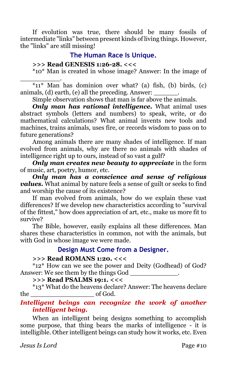If evolution was true, there should be many fossils of intermediate "links" between present kinds of living things. However, the "links" are still missing!

## **The Human Race Is Unique.**

### **>>> Read GENESIS 1:26-28. <<<**

\*10\* Man is created in whose image? Answer: In the image of

\_\_\_\_\_\_\_\_\_\_. \*11\* Man has dominion over what? (a) fish, (b) birds, (c) animals,  $(d)$  earth,  $(e)$  all the preceding. Answer:

Simple observation shows that man is far above the animals.

*Only man has rational intelligence.* What animal uses abstract symbols (letters and numbers) to speak, write, or do mathematical calculations? What animal invents new tools and machines, trains animals, uses fire, or records wisdom to pass on to future generations?

Among animals there are many shades of intelligence. If man evolved from animals, why are there no animals with shades of intelligence right up to ours, instead of so vast a gulf?

*Only man creates new beauty to appreciate* in the form of music, art, poetry, humor, etc.

*Only man has a conscience and sense of religious values.* What animal by nature feels a sense of guilt or seeks to find and worship the cause of its existence?

If man evolved from animals, how do we explain these vast differences? If we develop new characteristics according to "survival of the fittest," how does appreciation of art, etc., make us more fit to survive?

The Bible, however, easily explains all these differences. Man shares these characteristics in common, not with the animals, but with God in whose image we were made.

# **Design Must Come from a Designer.**

#### **>>> Read ROMANS 1:20. <<<**

\*12\* How can we see the power and Deity (Godhead) of God? Answer: We see them by the things God  $\Box$ 

**>>> Read PSALMS 19:1. <<<**

\*13\* What do the heavens declare? Answer: The heavens declare the of God.

# *Intelligent beings can recognize the work of another intelligent being.*

When an intelligent being designs something to accomplish some purpose, that thing bears the marks of intelligence - it is intelligible. Other intelligent beings can study how it works, etc. Even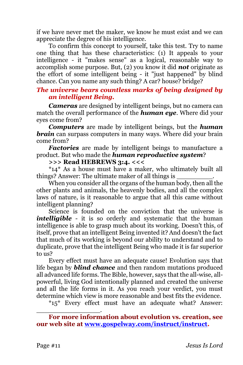if we have never met the maker, we know he must exist and we can appreciate the degree of his intelligence.

To confirm this concept to yourself, take this test. Try to name one thing that has these characteristics: (1) It appeals to your intelligence - it "makes sense" as a logical, reasonable way to accomplish some purpose. But, (2) you know it did *not* originate as the effort of some intelligent being - it "just happened" by blind chance. Can you name any such thing? A car? house? bridge?

## *The universe bears countless marks of being designed by an intelligent Being.*

*Cameras* are designed by intelligent beings, but no camera can match the overall performance of the *human eye*. Where did your eyes come from?

*Computers* are made by intelligent beings, but the *human brain* can surpass computers in many ways. Where did your brain come from?

*Factories* are made by intelligent beings to manufacture a product. But who made the *human reproductive system*?

**>>> Read HEBREWS 3:4. <<<**

\*14\* As a house must have a maker, who ultimately built all things? Answer: The ultimate maker of all things is \_\_\_\_\_\_\_\_\_.

When you consider all the organs of the human body, then all the other plants and animals, the heavenly bodies, and all the complex laws of nature, is it reasonable to argue that all this came without intelligent planning?

Science is founded on the conviction that the universe is *intelligible* - it is so orderly and systematic that the human intelligence is able to grasp much about its working. Doesn't this, of itself, prove that an intelligent Being invented it? And doesn't the fact that much of its working is beyond our ability to understand and to duplicate, prove that the intelligent Being who made it is far superior to us?

Every effect must have an adequate cause! Evolution says that life began by *blind chance* and then random mutations produced all advanced life forms. The Bible, however, says that the all-wise, allpowerful, living God intentionally planned and created the universe and all the life forms in it. As you reach your verdict, you must determine which view is more reasonable and best fits the evidence.

\*15\* Every effect must have an adequate what? Answer:

\_\_\_\_\_\_\_\_\_\_\_\_\_\_\_\_.

**For more information about evolution vs. creation, see our web site at [www.gospelway.com/instruct/instruct.](http://www.gospelway.com/)**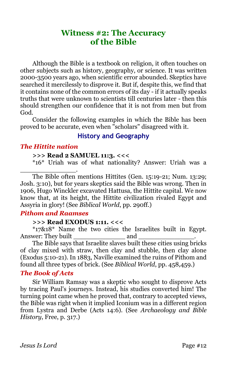# **Witness #2: The Accuracy of the Bible**

Although the Bible is a textbook on religion, it often touches on other subjects such as history, geography, or science. It was written 2000-3500 years ago, when scientific error abounded. Skeptics have searched it mercilessly to disprove it. But if, despite this, we find that it contains none of the common errors of its day - if it actually speaks truths that were unknown to scientists till centuries later - then this should strengthen our confidence that it is not from men but from God.

Consider the following examples in which the Bible has been proved to be accurate, even when "scholars" disagreed with it.

## **History and Geography**

#### *The Hittite nation*

#### **>>> Read 2 SAMUEL 11:3. <<<**

\*16\* Uriah was of what nationality? Answer: Uriah was a \_\_\_\_\_\_\_\_\_\_\_\_\_\_.

The Bible often mentions Hittites (Gen. 15:19-21; Num. 13:29; Josh. 3:10), but for years skeptics said the Bible was wrong. Then in 1906, Hugo Winckler excavated Hattusa, the Hittite capital. We now know that, at its height, the Hittite civilization rivaled Egypt and Assyria in glory! (See *Biblical World*, pp. 290ff.)

## *Pithom and Raamses*

#### **>>> Read EXODUS 1:11. <<<**

\*17&18\* Name the two cities the Israelites built in Egypt. Answer: They built and and

The Bible says that Israelite slaves built these cities using bricks of clay mixed with straw, then clay and stubble, then clay alone (Exodus 5:10-21). In 1883, Naville examined the ruins of Pithom and found all three types of brick. (See *Biblical World*, pp. 458,459.)

#### *The Book of Acts*

Sir William Ramsay was a skeptic who sought to disprove Acts by tracing Paul's journeys. Instead, his studies converted him! The turning point came when he proved that, contrary to accepted views, the Bible was right when it implied Iconium was in a different region from Lystra and Derbe (Acts 14:6). (See *Archaeology and Bible History*, Free, p. 317.)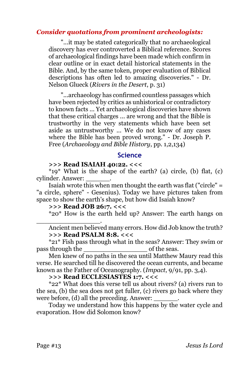#### *Consider quotations from prominent archeologists:*

"...it may be stated categorically that no archaeological discovery has ever controverted a Biblical reference. Scores of archaeological findings have been made which confirm in clear outline or in exact detail historical statements in the Bible. And, by the same token, proper evaluation of Biblical descriptions has often led to amazing discoveries." - Dr. Nelson Glueck (*Rivers in the Desert*, p. 31)

"...archaeology has confirmed countless passages which have been rejected by critics as unhistorical or contradictory to known facts ... Yet archaeological discoveries have shown that these critical charges ... are wrong and that the Bible is trustworthy in the very statements which have been set aside as untrustworthy ... We do not know of any cases where the Bible has been proved wrong." - Dr. Joseph P. Free (*Archaeology and Bible History*, pp. 1,2,134)

#### **Science**

#### **>>> Read ISAIAH 40:22. <<<**

 $*19*$  What is the shape of the earth? (a) circle, (b) flat, (c) cylinder. Answer: \_\_\_\_\_\_.

Isaiah wrote this when men thought the earth was flat ("circle" = "a circle, sphere" - Gesenius). Today we have pictures taken from space to show the earth's shape, but how did Isaiah know?

#### **>>> Read JOB 26:7. <<<**

\_\_\_\_\_\_\_\_\_\_\_\_\_\_\_\_.

\*20\* How is the earth held up? Answer: The earth hangs on

Ancient men believed many errors. How did Job know the truth? **>>> Read PSALM 8:8. <<<**

\*21\* Fish pass through what in the seas? Answer: They swim or pass through the seas.

Men knew of no paths in the sea until Matthew Maury read this verse. He searched till he discovered the ocean currents, and became known as the Father of Oceanography. (*Impact*, 9/91, pp. 3,4).

#### **>>> Read ECCLESIASTES 1:7. <<<**

\*22\* What does this verse tell us about rivers? (a) rivers run to the sea, (b) the sea does not get fuller, (c) rivers go back where they were before, (d) all the preceding. Answer:

Today we understand how this happens by the water cycle and evaporation. How did Solomon know?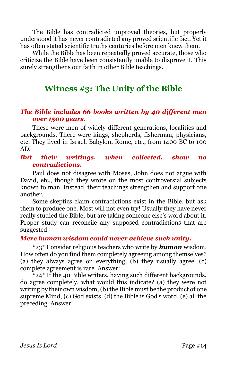The Bible has contradicted unproved theories, but properly understood it has never contradicted any proved scientific fact. Yet it has often stated scientific truths centuries before men knew them.

While the Bible has been repeatedly proved accurate, those who criticize the Bible have been consistently unable to disprove it. This surely strengthens our faith in other Bible teachings.

# **Witness #3: The Unity of the Bible**

#### *The Bible includes 66 books written by 40 different men over 1500 years.*

These were men of widely different generations, localities and backgrounds. There were kings, shepherds, fisherman, physicians, etc. They lived in Israel, Babylon, Rome, etc., from 1400 BC to 100 AD.

#### *But their writings, when collected, show no contradictions.*

Paul does not disagree with Moses, John does not argue with David, etc., though they wrote on the most controversial subjects known to man. Instead, their teachings strengthen and support one another.

Some skeptics claim contradictions exist in the Bible, but ask them to produce one. Most will not even try! Usually they have never really studied the Bible, but are taking someone else's word about it. Proper study can reconcile any supposed contradictions that are suggested.

#### *Mere human wisdom could never achieve such unity.*

\*23\* Consider religious teachers who write by *human* wisdom. How often do you find them completely agreeing among themselves? (a) they always agree on everything, (b) they usually agree, (c) complete agreement is rare. Answer: \_\_\_\_\_\_.

 $*$ 24 $*$  If the 40 Bible writers, having such different backgrounds, do agree completely, what would this indicate? (a) they were not writing by their own wisdom, (b) the Bible must be the product of one supreme Mind, (c) God exists, (d) the Bible is God's word, (e) all the preceding. Answer: \_\_\_\_\_\_.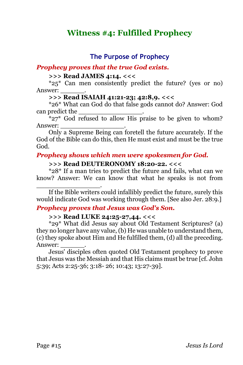# **Witness #4: Fulfilled Prophecy**

## **The Purpose of Prophecy**

#### *Prophecy proves that the true God exists.*

#### **>>> Read JAMES 4:14. <<<**

\*25\* Can men consistently predict the future? (yes or no) Answer: \_\_\_\_\_\_.

#### **>>> Read ISAIAH 41:21-23; 42:8,9. <<<**

\*26\* What can God do that false gods cannot do? Answer: God can predict the

 $*27*$  God refused to allow His praise to be given to whom? Answer: \_\_\_\_\_\_\_\_\_\_\_\_\_\_\_\_.

Only a Supreme Being can foretell the future accurately. If the God of the Bible can do this, then He must exist and must be the true God.

#### *Prophecy shows which men were spokesmen for God.*

#### **>>> Read DEUTERONOMY 18:20-22. <<<**

\*28\* If a man tries to predict the future and fails, what can we know? Answer: We can know that what he speaks is not from

If the Bible writers could infallibly predict the future, surely this would indicate God was working through them. [See also Jer. 28:9.]

#### *Prophecy proves that Jesus was God's Son.*

#### **>>> Read LUKE 24:25-27,44. <<<**

\_\_\_\_\_\_\_\_\_\_\_\_\_\_\_\_.

\*29\* What did Jesus say about Old Testament Scriptures? (a) they no longer have any value, (b) He was unable to understand them, (c) they spoke about Him and He fulfilled them, (d) all the preceding. Answer:

Jesus' disciples often quoted Old Testament prophecy to prove that Jesus was the Messiah and that His claims must be true [cf. John 5:39; Acts 2:25-36; 3:18- 26; 10:43; 13:27-39].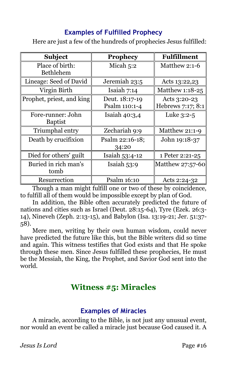# **Examples of Fulfilled Prophecy**

Here are just a few of the hundreds of prophecies Jesus fulfilled:

| <b>Subject</b>                      | <b>Prophecy</b>                 | <b>Fulfillment</b>                |
|-------------------------------------|---------------------------------|-----------------------------------|
| Place of birth:<br><b>Bethlehem</b> | Micah $5:2$                     | Matthew 2:1-6                     |
| Lineage: Seed of David              | Jeremiah 23:5                   | Acts 13:22,23                     |
| Virgin Birth                        | Isaiah $7:14$                   | Matthew 1:18-25                   |
| Prophet, priest, and king           | Deut. 18:17-19<br>Psalm 110:1-4 | Acts 3:20-23<br>Hebrews 7:17; 8:1 |
| Fore-runner: John<br><b>Baptist</b> | Isaiah $40:3,4$                 | Luke $3:2-5$                      |
| Triumphal entry                     | Zechariah 9:9                   | Matthew 21:1-9                    |
| Death by crucifixion                | Psalm 22:16-18;<br>34:20        | John 19:18-37                     |
| Died for others' guilt              | Isaiah 53:4-12                  | 1 Peter 2:21-25                   |
| Buried in rich man's<br>tomb        | Isaiah $53:9$                   | Matthew $27:57-60$                |
| Resurrection                        | Psalm 16:10                     | Acts 2:24-32                      |

Though a man might fulfill one or two of these by coincidence, to fulfill all of them would be impossible except by plan of God.

In addition, the Bible often accurately predicted the future of nations and cities such as Israel (Deut. 28:15-64), Tyre (Ezek. 26:3- 14), Nineveh (Zeph. 2:13-15), and Babylon (Isa. 13:19-21; Jer. 51:37- 58).

Mere men, writing by their own human wisdom, could never have predicted the future like this, but the Bible writers did so time and again. This witness testifies that God exists and that He spoke through these men. Since Jesus fulfilled these prophecies, He must be the Messiah, the King, the Prophet, and Savior God sent into the world.

# **Witness #5: Miracles**

# **Examples of Miracles**

A miracle, according to the Bible, is not just any unusual event, nor would an event be called a miracle just because God caused it. A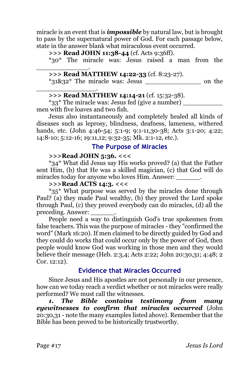miracle is an event that is *impossible* by natural law, but is brought to pass by the supernatural power of God. For each passage below, state in the answer blank what miraculous event occurred.

**>>> Read JOHN 11:38-44** (cf. Acts 9:36ff).

\*30\* The miracle was: Jesus raised a man from the \_\_\_\_\_\_\_\_\_\_\_\_\_.

#### **>>> Read MATTHEW 14:22-33** (cf. 8:23-27).

 $*31\&32*$  The miracle was: Jesus  $\qquad \qquad$  on the

#### \_\_\_\_\_\_\_\_\_\_\_\_\_\_\_. **>>> Read MATTHEW 14:14-21** (cf. 15:32-38).

\*33\* The miracle was: Jesus fed (give a number) \_\_\_\_\_\_\_\_\_\_ men with five loaves and two fish.

Jesus also instantaneously and completely healed all kinds of diseases such as leprosy, blindness, deafness, lameness, withered hands, etc. (John 4:46-54; 5:1-9; 9:1-11,30-38; Acts 3:1-20; 4:22; 14:8-10; 5:12-16; 19:11,12; 9:32-35; Mk. 2:1-12, etc.).

# **The Purpose of Miracles**

## **>>>Read JOHN 5:36. <<<**

\*34\* What did Jesus say His works proved? (a) that the Father sent Him, (b) that He was a skilled magician, (c) that God will do miracles today for anyone who loves Him. Answer: \_\_\_\_\_\_\_.

#### **>>>Read ACTS 14:3. <<<**

\*35\* What purpose was served by the miracles done through Paul? (a) they made Paul wealthy, (b) they proved the Lord spoke through Paul, (c) they proved everybody can do miracles, (d) all the preceding. Answer: \_\_\_\_\_\_.

People need a way to distinguish God's true spokesmen from false teachers. This was the purpose of miracles - they "confirmed the word" (Mark 16:20). If men claimed to be directly guided by God and they could do works that could occur only by the power of God, then people would know God was working in those men and they would believe their message (Heb. 2:3,4; Acts 2:22; John 20:30,31; 4:48; 2 Cor. 12:12).

# **Evidence that Miracles Occurred**

Since Jesus and His apostles are not personally in our presence, how can we today reach a verdict whether or not miracles were really performed? We must call the witnesses.

*1. The Bible contains testimony from many eyewitnesses to confirm that miracles occurred* (John 20:30,31 - note the many examples listed above). Remember that the Bible has been proved to be historically trustworthy.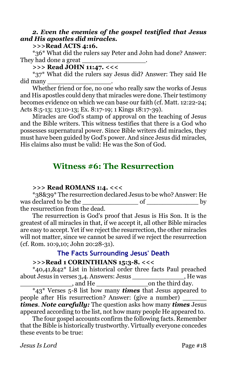### *2. Even the enemies of the gospel testified that Jesus and His apostles did miracles.*

#### **>>>Read ACTS 4:16.**

\*36\* What did the rulers say Peter and John had done? Answer: They had done a great \_\_\_\_\_\_\_\_\_\_\_\_\_\_\_\_.

# **>>> Read JOHN 11:47. <<<**

\*37\* What did the rulers say Jesus did? Answer: They said He did many \_\_\_\_\_\_\_\_\_\_\_\_\_\_\_\_.

Whether friend or foe, no one who really saw the works of Jesus and His apostles could deny that miracles were done. Their testimony becomes evidence on which we can base our faith (cf. Matt. 12:22-24; Acts 8:5-13; 13:10-13; Ex. 8:17-19; 1 Kings 18:17-39).

Miracles are God's stamp of approval on the teaching of Jesus and the Bible writers. This witness testifies that there is a God who possesses supernatural power. Since Bible writers did miracles, they must have been guided by God's power. And since Jesus did miracles, His claims also must be valid: He was the Son of God.

# **Witness #6: The Resurrection**

#### **>>> Read ROMANS 1:4. <<<**

\*38&39\* The resurrection declared Jesus to be who? Answer: He was declared to be the  $\qquad \qquad$  of  $\qquad \qquad$  by the resurrection from the dead.

The resurrection is God's proof that Jesus is His Son. It is the greatest of all miracles in that, if we accept it, all other Bible miracles are easy to accept. Yet if we reject the resurrection, the other miracles will not matter, since we cannot be saved if we reject the resurrection (cf. Rom. 10:9,10; John 20:28-31).

# **The Facts Surrounding Jesus' Death**

#### **>>>Read 1 CORINTHIANS 15:3-8. <<<**

\*40,41,&42\* List in historical order three facts Paul preached about Jesus in verses 3,4. Answers: Jesus \_\_\_\_\_\_\_\_\_\_\_\_\_, He was \_\_\_\_\_\_\_\_\_\_\_\_\_, and He \_\_\_\_\_\_\_\_\_\_\_\_\_on the third day.

\*43\* Verses 5-8 list how many *times* that Jesus appeared to people after His resurrection? Answer: (give a number) *times*. *Note carefully:* The question asks how many *times* Jesus appeared according to the list, not how many people He appeared to.

The four gospel accounts confirm the following facts. Remember that the Bible is historically trustworthy. Virtually everyone concedes these events to be true:

*Jesus Is Lord* Page #18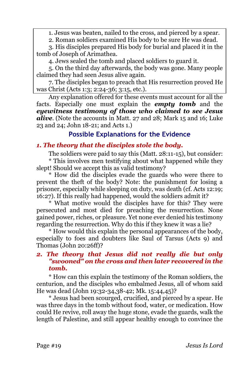1. Jesus was beaten, nailed to the cross, and pierced by a spear.

2. Roman soldiers examined His body to be sure He was dead.

3. His disciples prepared His body for burial and placed it in the tomb of Joseph of Arimathea.

4. Jews sealed the tomb and placed soldiers to guard it.

5. On the third day afterwards, the body was gone. Many people claimed they had seen Jesus alive again.

7. The disciples began to preach that His resurrection proved He was Christ (Acts 1:3; 2:24-36; 3:15, etc.).

Any explanation offered for these events must account for all the facts. Especially one must explain the *empty tomb* and the *eyewitness testimony of those who claimed to see Jesus alive*. (Note the accounts in Matt. 27 and 28; Mark 15 and 16; Luke 23 and 24; John 18-21; and Acts 1.)

# **Possible Explanations for the Evidence**

# *1. The theory that the disciples stole the body.*

The soldiers were paid to say this (Matt. 28:11-15), but consider:

\* This involves men testifying about what happened while they slept! Should we accept this as valid testimony?

\* How did the disciples evade the guards who were there to prevent the theft of the body? Note: the punishment for losing a prisoner, especially while sleeping on duty, was death (cf. Acts 12:19; 16:27). If this really had happened, would the soldiers admit it?

\* What motive would the disciples have for this? They were persecuted and most died for preaching the resurrection. None gained power, riches, or pleasure. Yet none ever denied his testimony regarding the resurrection. Why do this if they knew it was a lie?

\* How would this explain the personal appearances of the body, especially to foes and doubters like Saul of Tarsus (Acts 9) and Thomas (John 20:26ff)?

## *2. The theory that Jesus did not really die but only "swooned" on the cross and then later recovered in the tomb.*

\* How can this explain the testimony of the Roman soldiers, the centurion, and the disciples who embalmed Jesus, all of whom said He was dead (John 19:32-34,38-42; Mk. 15:44,45)?

\* Jesus had been scourged, crucified, and pierced by a spear. He was three days in the tomb without food, water, or medication. How could He revive, roll away the huge stone, evade the guards, walk the length of Palestine, and still appear healthy enough to convince the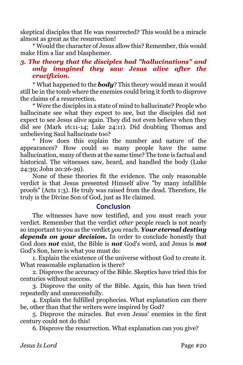skeptical disciples that He was resurrected? This would be a miracle almost as great as the resurrection!

\* Would the character of Jesus allow this? Remember, this would make Him a liar and blasphemer.

# *3. The theory that the disciples had "hallucinations" and only imagined they saw Jesus alive after the crucifixion.*

\* What happened to the *body*? This theory would mean it would still be in the tomb where the enemies could bring it forth to disprove the claims of a resurrection.

\* Were the disciples in a state of mind to hallucinate? People who hallucinate see what they expect to see, but the disciples did not expect to see Jesus alive again. They did not even believe when they did see (Mark 16:11-14; Luke 24:11). Did doubting Thomas and unbelieving Saul hallucinate too?

\* How does this explain the number and nature of the appearances? How could so many people have the same hallucination, many of them at the same time? The tone is factual and historical. The witnesses saw, heard, and handled the body (Luke 24:39; John 20:26-29).

None of these theories fit the evidence. The only reasonable verdict is that Jesus presented Himself alive "by many infallible proofs" (Acts 1:3). He truly was raised from the dead. Therefore, He truly is the Divine Son of God, just as He claimed.

#### **Conclusion**

The witnesses have now testified, and you must reach your verdict. Remember that the verdict *other* people reach is not nearly so important to you as the verdict *you* reach. *Your eternal destiny depends on your decision***.** In order to conclude honestly that God does *not* exist, the Bible is *not* God's word, and Jesus is *not*  God's Son, here is what you must do:

1. Explain the existence of the universe without God to create it. What reasonable explanation is there?

2. Disprove the accuracy of the Bible. Skeptics have tried this for centuries without success.

3. Disprove the unity of the Bible. Again, this has been tried repeatedly and unsuccessfully.

4. Explain the fulfilled prophecies. What explanation can there be, other than that the writers were inspired by God?

5. Disprove the miracles. But even Jesus' enemies in the first century could not do this!

6. Disprove the resurrection. What explanation can you give?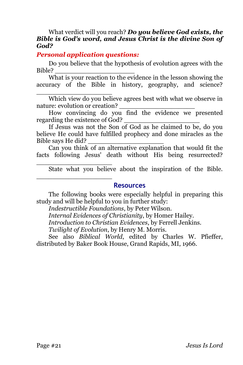#### What verdict will you reach? *Do you believe God exists, the Bible is God's word, and Jesus Christ is the divine Son of God?*

## *Personal application questions:*

\_\_\_\_\_\_\_\_\_\_\_\_\_\_\_\_\_\_\_

\_\_\_\_\_\_\_\_\_\_\_\_\_\_\_\_\_\_\_

\_\_\_\_\_\_\_\_\_\_\_\_\_\_\_\_\_\_\_

Do you believe that the hypothesis of evolution agrees with the Bible?

What is your reaction to the evidence in the lesson showing the accuracy of the Bible in history, geography, and science?

Which view do you believe agrees best with what we observe in nature: evolution or creation?

How convincing do you find the evidence we presented regarding the existence of God?

If Jesus was not the Son of God as he claimed to be, do you believe He could have fulfilled prophecy and done miracles as the Bible says He did?

Can you think of an alternative explanation that would fit the facts following Jesus' death without His being resurrected?

State what you believe about the inspiration of the Bible.

#### **Resources**

The following books were especially helpful in preparing this study and will be helpful to you in further study:

*Indestructible Foundations*, by Peter Wilson.

*Internal Evidences of Christianity*, by Homer Hailey.

*Introduction to Christian Evidences*, by Ferrell Jenkins.

*Twilight of Evolution*, by Henry M. Morris.

See also *Biblical World*, edited by Charles W. Pfieffer, distributed by Baker Book House, Grand Rapids, MI, 1966.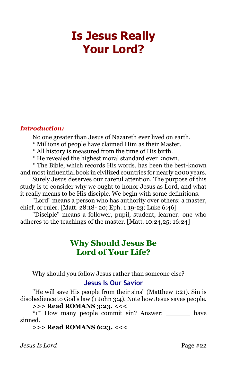# <span id="page-21-0"></span>**Is Jesus Really Your Lord?**

#### *Introduction:*

No one greater than Jesus of Nazareth ever lived on earth.

- \* Millions of people have claimed Him as their Master.
- \* All history is measured from the time of His birth.
- \* He revealed the highest moral standard ever known.

\* The Bible, which records His words, has been the best-known and most influential book in civilized countries for nearly 2000 years.

Surely Jesus deserves our careful attention. The purpose of this study is to consider why we ought to honor Jesus as Lord, and what it really means to be His disciple. We begin with some definitions.

"Lord" means a person who has authority over others: a master, chief, or ruler. [Matt. 28:18- 20; Eph. 1:19-23; Luke 6:46]

"Disciple" means a follower, pupil, student, learner: one who adheres to the teachings of the master. [Matt. 10:24,25; 16:24]

# **Why Should Jesus Be Lord of Your Life?**

Why should you follow Jesus rather than someone else?

# **Jesus Is Our Savior**

"He will save His people from their sins" (Matthew 1:21). Sin is disobedience to God's law (1 John 3:4). Note how Jesus saves people.

# **>>> Read ROMANS 3:23. <<<**

\*1\* How many people commit sin? Answer: \_\_\_\_\_\_ have sinned.

**>>> Read ROMANS 6:23. <<<**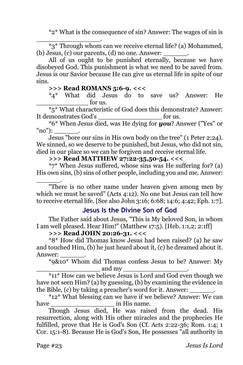\*2\* What is the consequence of sin? Answer: The wages of sin is

\*3\* Through whom can we receive eternal life? (a) Mohammed, (b) Jesus, (c) our parents,  $(d)$  no one. Answer:

All of us ought to be punished eternally, because we have disobeyed God. This punishment is what we need to be saved from. Jesus is our Savior because He can give us eternal life in spite of our sins.

### **>>> Read ROMANS 5:6-9. <<<**

\_\_\_\_\_\_\_\_\_\_\_\_\_\_\_\_.

\*4\* What did Jesus do to save us? Answer: He  $_{\rm for\, ns.}$ 

\*5\* What characteristic of God does this demonstrate? Answer: It demonstrates God's for us.

\*6\* When Jesus died, was He dying for *you*? Answer ("Yes" or "no"):

Jesus "bore our sins in His own body on the tree" (1 Peter 2:24). We sinned, so we deserve to be punished, but Jesus, who did not sin, died in our place so we can be forgiven and receive eternal life.

# **>>> Read MATTHEW 27:22-35,50-54. <<<**

\*7\* When Jesus suffered, whose sins was He suffering for? (a) His own sins, (b) sins of other people, including you and me. Answer:

\_\_\_\_\_\_. "There is no other name under heaven given among men by which we must be saved" (Acts 4:12). No one but Jesus can tell how to receive eternal life. [See also John 3:16; 6:68; 14:6; 4:42; Eph. 1:7].

#### **Jesus Is the Divine Son of God**

The Father said about Jesus, "This is My beloved Son, in whom I am well pleased. Hear Him!" (Matthew 17:5). [Heb. 1:1,2; 2:1ff]

#### **>>> Read JOHN 20:26-31. <<<**

\*8\* How did Thomas know Jesus had been raised? (a) he saw and touched Him, (b) he just heard about it, (c) he dreamed about it. Answer:

\*9&10\* Whom did Thomas confess Jesus to be? Answer: My and my  $\_$ 

\*11\* How can we believe Jesus is Lord and God even though we have not seen Him? (a) by guessing, (b) by examining the evidence in the Bible, (c) by taking a preacher's word for it. Answer: \_\_\_\_\_\_.

\*12\* What blessing can we have if we believe? Answer: We can have  $\qquad \qquad$  in His name.

Though Jesus died, He was raised from the dead. His resurrection, along with His other miracles and the prophecies He fulfilled, prove that He is God's Son (Cf. Acts 2:22-36; Rom. 1:4; 1) Cor. 15:1-8). Because He is God's Son, He possesses "all authority in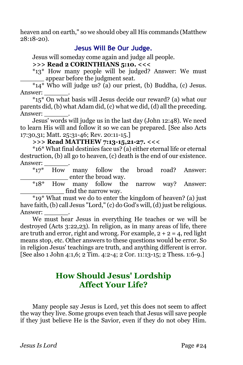heaven and on earth," so we should obey all His commands (Matthew 28:18-20).

# **Jesus Will Be Our Judge.**

Jesus will someday come again and judge all people.

# **>>> Read 2 CORINTHIANS 5:10. <<<**

\*13\* How many people will be judged? Answer: We must \_\_\_\_\_\_ appear before the judgment seat.

 $\overline{*}_{14}$  who will judge us? (a) our priest, (b) Buddha, (c) Jesus. Answer:

\*15\* On what basis will Jesus decide our reward? (a) what our parents did, (b) what Adam did, (c) what we did, (d) all the preceding. Answer:

Jesus' words will judge us in the last day (John 12:48). We need to learn His will and follow it so we can be prepared. [See also Acts 17:30,31; Matt. 25:31-46; Rev. 20:11-15.]

#### **>>> Read MATTHEW 7:13-15,21-27. <<<**

\*16\* What final destinies face us? (a) either eternal life or eternal destruction, (b) all go to heaven, (c) death is the end of our existence. Answer:

\*17\* How many follow the broad road? Answer: \_\_\_\_\_\_\_\_\_\_\_\_ enter the broad way.

\*18\* How many follow the narrow way? Answer: find the narrow way.

\*19\* What must we do to enter the kingdom of heaven? (a) just have faith, (b) call Jesus "Lord," (c) do God's will, (d) just be religious. Answer:

We must hear Jesus in everything He teaches or we will be destroyed (Acts 3:22,23). In religion, as in many areas of life, there are truth and error, right and wrong. For example,  $2 + 2 = 4$ , red light means stop, etc. Other answers to these questions would be error. So in religion Jesus' teachings are truth, and anything different is error. [See also 1 John 4:1,6; 2 Tim. 4:2-4; 2 Cor. 11:13-15; 2 Thess. 1:6-9.]

# **How Should Jesus' Lordship Affect Your Life?**

Many people say Jesus is Lord, yet this does not seem to affect the way they live. Some groups even teach that Jesus will save people if they just believe He is the Savior, even if they do not obey Him.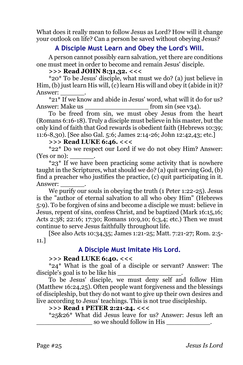What does it really mean to follow Jesus as Lord? How will it change your outlook on life? Can a person be saved without obeying Jesus?

# **A Disciple Must Learn and Obey the Lord's Will.**

A person cannot possibly earn salvation, yet there are conditions one must meet in order to become and remain Jesus' disciple.

#### **>>> Read JOHN 8:31,32. <<<**

\*20\* To be Jesus' disciple, what must we do? (a) just believe in Him, (b) just learn His will, (c) learn His will and obey it (abide in it)? Answer:

\*21\* If we know and abide in Jesus' word, what will it do for us? Answer: Make us \_\_\_\_\_\_\_\_\_\_\_\_\_\_\_\_ from sin (see v34).

To be freed from sin, we must obey Jesus from the heart (Romans 6:16-18). Truly a disciple must believe in his master, but the only kind of faith that God rewards is obedient faith (Hebrews 10:39; 11:6-8,30). [See also Gal. 5:6; James 2:14-26; John 12:42,43; etc.]

#### **>>> Read LUKE 6:46. <<<**

\*22\* Do we respect our Lord if we do not obey Him? Answer: (Yes or no):

\*23\* If we have been practicing some activity that is nowhere taught in the Scriptures, what should we do? (a) quit serving God, (b) find a preacher who justifies the practice, (c) quit participating in it. Answer:

We purify our souls in obeying the truth (1 Peter 1:22-25). Jesus is the "author of eternal salvation to all who obey Him" (Hebrews 5:9). To be forgiven of sins and become a disciple we must: believe in Jesus, repent of sins, confess Christ, and be baptized (Mark 16:15,16; Acts 2:38; 22:16; 17:30; Romans 10:9,10; 6:3,4; etc.) Then we must continue to serve Jesus faithfully throughout life.

[See also Acts 10:34,35; James 1:21-25; Matt. 7:21-27; Rom. 2:5- 11.]

# **A Disciple Must Imitate His Lord.**

#### **>>> Read LUKE 6:40. <<<**

\*24\* What is the goal of a disciple or servant? Answer: The disciple's goal is to be like his \_\_\_\_\_\_\_\_\_\_\_\_\_\_\_\_.

To be Jesus' disciple, we must deny self and follow Him (Matthew 16:24,25). Often people want forgiveness and the blessings of discipleship, but they do not want to give up their own desires and live according to Jesus' teachings. This is not true discipleship.

#### **>>> Read 1 PETER 2:21-24. <<<**

\*25&26\* What did Jesus leave for us? Answer: Jesus left an so we should follow in His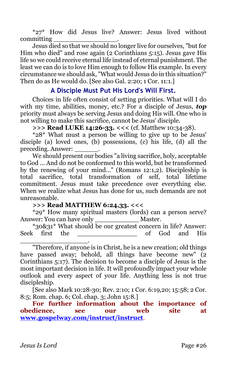\*27\* How did Jesus live? Answer: Jesus lived without committing \_\_\_\_\_\_\_\_\_\_\_\_\_\_\_\_.

Jesus died so that we should no longer live for ourselves, "but for Him who died" and rose again (2 Corinthians 5:15). Jesus gave His life so we could receive eternal life instead of eternal punishment. The least we can do is to love Him enough to follow His example. In every circumstance we should ask, "What would Jesus do in this situation?" Then do as He would do. [See also Gal. 2:20; 1 Cor. 11:1.]

# **A Disciple Must Put His Lord's Will First.**

Choices in life often consist of setting priorities. What will I do with my time, abilities, money, etc.? For a disciple of Jesus, *top* priority must always be serving Jesus and doing His will. One who is not willing to make this sacrifice, cannot be Jesus' disciple.

**>>> Read LUKE 14:26-33. <<<** (cf. Matthew 10:34-38).

\*28\* What must a person be willing to give up to be Jesus' disciple (a) loved ones, (b) possessions, (c) his life, (d) all the preceding. Answer:

We should present our bodies "a living sacrifice, holy, acceptable to God ... And do not be conformed to this world, but be transformed by the renewing of your mind..." (Romans 12:1,2). Discipleship is total sacrifice, total transformation of self, total lifetime commitment. Jesus must take precedence over everything else. When we realize what Jesus has done for us, such demands are not unreasonable.

**>>> Read MATTHEW 6:24,33. <<<** 

\*29\* How many spiritual masters (lords) can a person serve? Answer: You can have only **Master**.

\*30&31\* What should be our greatest concern in life? Answer: Seek first the **Seek first** the second of God and His \_\_\_\_\_\_\_\_\_\_\_\_\_\_\_\_\_.

"Therefore, if anyone is in Christ, he is a new creation; old things have passed away; behold, all things have become new" (2 Corinthians 5:17). The decision to become a disciple of Jesus is the most important decision in life. It will profoundly impact your whole outlook and every aspect of your life. Anything less is not true discipleship.

[See also Mark 10:28-30; Rev. 2:10; 1 Cor. 6:19,20; 15:58; 2 Cor. 8:5; Rom. chap. 6; Col. chap. 3; John 15:8.]

**For further information about the importance of obedience, see our web site at [www.gospelway.com/instruct/instruct](http://www.gospelway.com/)**.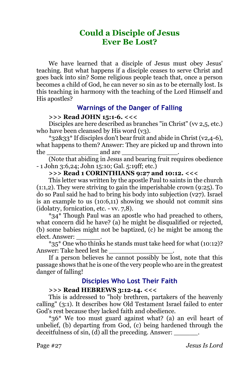# **Could a Disciple of Jesus Ever Be Lost?**

We have learned that a disciple of Jesus must obey Jesus' teaching. But what happens if a disciple ceases to serve Christ and goes back into sin? Some religious people teach that, once a person becomes a child of God, he can never so sin as to be eternally lost. Is this teaching in harmony with the teaching of the Lord Himself and His apostles?

## **Warnings of the Danger of Falling**

#### **>>> Read JOHN 15:1-6. <<<**

Disciples are here described as branches "in Christ" (vv 2,5, etc.) who have been cleansed by His word  $(v_3)$ .

\*32&33\* If disciples don't bear fruit and abide in Christ (v2,4-6), what happens to them? Answer: They are picked up and thrown into the and are  $\Box$ 

(Note that abiding in Jesus and bearing fruit requires obedience - 1 John 3:6,24; John 15:10; Gal. 5:19ff; etc.)

#### **>>> Read 1 CORINTHIANS 9:27 and 10:12. <<<**

This letter was written by the apostle Paul to saints in the church (1:1,2). They were striving to gain the imperishable crown (9:25). To do so Paul said he had to bring his body into subjection (v27). Israel is an example to us (10:6,11) showing we should not commit sins (idolatry, fornication, etc. - vv. 7,8).

\*34\* Though Paul was an apostle who had preached to others, what concern did he have? (a) he might be disqualified or rejected, (b) some babies might not be baptized, (c) he might be among the elect. Answer:

\*35\* One who thinks he stands must take heed for what (10:12)? Answer: Take heed lest he

If a person believes he cannot possibly be lost, note that this passage shows that he is one of the very people who are in the greatest danger of falling!

# **Disciples Who Lost Their Faith**

#### **>>> Read HEBREWS 3:12-14. <<<**

This is addressed to "holy brethren, partakers of the heavenly calling" (3:1). It describes how Old Testament Israel failed to enter God's rest because they lacked faith and obedience.

\*36\* We too must guard against what? (a) an evil heart of unbelief, (b) departing from God, (c) being hardened through the deceitfulness of sin, (d) all the preceding. Answer: \_\_\_\_\_\_\_\_.

Page #27 *Jesus Is Lord*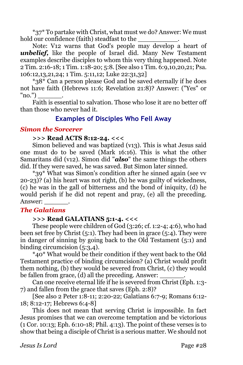\*37\* To partake with Christ, what must we do? Answer: We must hold our confidence (faith) steadfast to the

Note: V12 warns that God's people may develop a heart of *unbelief,* like the people of Israel did. Many New Testament examples describe disciples to whom this very thing happened. Note 2 Tim. 2:16-18; 1 Tim. 1:18-20; 5:8. [See also 1 Tim. 6:9,10,20,21; Psa. 106:12,13,21,24; 1 Tim. 5:11,12; Luke 22:31,32]

\*38\* Can a person please God and be saved eternally if he does not have faith (Hebrews 11:6; Revelation 21:8)? Answer: ("Yes" or  $"no."$ 

Faith is essential to salvation. Those who lose it are no better off than those who never had it.

# **Examples of Disciples Who Fell Away**

#### *Simon the Sorcerer*

#### **>>> Read ACTS 8:12-24. <<<**

Simon believed and was baptized (v13). This is what Jesus said one must do to be saved (Mark 16:16). This is what the other Samaritans did (v12). Simon did "*also*" the same things the others did. If they were saved, he was saved. But Simon later sinned.

\*39\* What was Simon's condition after he sinned again (see vv  $(20-23)$ ? (a) his heart was not right, (b) he was guilty of wickedness, (c) he was in the gall of bitterness and the bond of iniquity, (d) he would perish if he did not repent and pray, (e) all the preceding. Answer: \_\_\_\_\_\_.

# *The Galatians*

#### **>>> Read GALATIANS 5:1-4. <<<**

These people were children of God (3:26; cf. 1:2-4; 4:6), who had been set free by Christ  $(5:1)$ . They had been in grace  $(5:4)$ . They were in danger of sinning by going back to the Old Testament (5:1) and binding circumcision (5:3,4).

\*40\* What would be their condition if they went back to the Old Testament practice of binding circumcision? (a) Christ would profit them nothing, (b) they would be severed from Christ, (c) they would be fallen from grace,  $(d)$  all the preceding. Answer:

Can one receive eternal life if he is severed from Christ (Eph. 1:3- 7) and fallen from the grace that saves (Eph. 2:8)?

[See also 2 Peter 1:8-11; 2:20-22; Galatians 6:7-9; Romans 6:12- 18; 8:12-17; Hebrews 6:4-8]

This does not mean that serving Christ is impossible. In fact Jesus promises that we can overcome temptation and be victorious (1 Cor. 10:13; Eph. 6:10-18; Phil. 4:13). The point of these verses is to show that being a disciple of Christ is a serious matter. We should not

*Jesus Is Lord* Page #28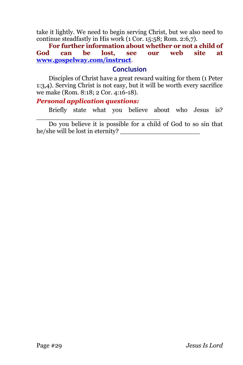take it lightly. We need to begin serving Christ, but we also need to continue steadfastly in His work (1 Cor. 15:58; Rom. 2:6,7).

**For further information about whether or not a child of God can be lost, see our web site at [www.gospelway.com/instruct](http://www.gospelway.com/)**.

## **Conclusion**

Disciples of Christ have a great reward waiting for them (1 Peter 1:3,4). Serving Christ is not easy, but it will be worth every sacrifice we make (Rom. 8:18; 2 Cor. 4:16-18).

#### *Personal application questions:*

\_\_\_\_\_\_\_\_\_\_\_\_\_\_\_\_\_\_\_\_\_\_\_\_\_\_\_\_\_\_\_

Briefly state what you believe about who Jesus is?

Do you believe it is possible for a child of God to so sin that he/she will be lost in eternity?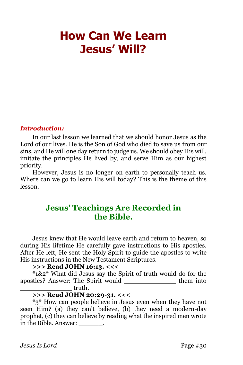# <span id="page-29-0"></span>**How Can We Learn Jesus' Will?**

#### *Introduction:*

In our last lesson we learned that we should honor Jesus as the Lord of our lives. He is the Son of God who died to save us from our sins, and He will one day return to judge us. We should obey His will, imitate the principles He lived by, and serve Him as our highest priority.

However, Jesus is no longer on earth to personally teach us. Where can we go to learn His will today? This is the theme of this lesson.

# **Jesus' Teachings Are Recorded in the Bible.**

Jesus knew that He would leave earth and return to heaven, so during His lifetime He carefully gave instructions to His apostles. After He left, He sent the Holy Spirit to guide the apostles to write His instructions in the New Testament Scriptures.

#### **>>> Read JOHN 16:13. <<<**

\*1&2\* What did Jesus say the Spirit of truth would do for the apostles? Answer: The Spirit would \_\_\_\_\_\_\_\_\_\_\_\_\_ them into \_\_\_\_\_\_\_\_\_\_\_\_\_ truth.

# **>>> Read JOHN 20:29-31. <<<**

\*3\* How can people believe in Jesus even when they have not seen Him? (a) they can't believe, (b) they need a modern-day prophet, (c) they can believe by reading what the inspired men wrote in the Bible. Answer:  $\qquad \qquad$ .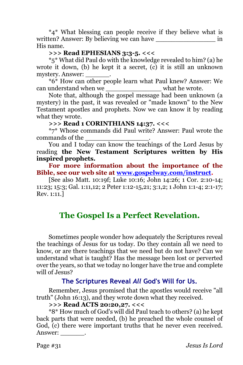\*4\* What blessing can people receive if they believe what is written? Answer: By believing we can have  $\overline{\phantom{a}}$  in His name.

### **>>> Read EPHESIANS 3:3-5. <<<**

\*5\* What did Paul do with the knowledge revealed to him? (a) he wrote it down, (b) he kept it a secret, (c) it is still an unknown mystery. Answer: \_\_\_\_\_\_.

\*6\* How can other people learn what Paul knew? Answer: We can understand when we \_\_\_\_\_\_\_\_\_\_\_\_\_\_\_\_\_\_\_\_ what he wrote.

Note that, although the gospel message had been unknown (a mystery) in the past, it was revealed or "made known" to the New Testament apostles and prophets. Now we can know it by reading what they wrote.

#### **>>> Read 1 CORINTHIANS 14:37. <<<**

\*7\* Whose commands did Paul write? Answer: Paul wrote the commands of the \_\_\_\_\_\_\_\_\_\_\_\_\_\_\_\_.

You and I today can know the teachings of the Lord Jesus by reading **the New Testament Scriptures written by His inspired prophets.**

**For more information about the importance of the Bible, see our web site at [www.gospelway.com/instruct.](http://www.gospelway.com/)**

[See also Matt. 10:19f; Luke 10:16; John 14:26; 1 Cor. 2:10-14; 11:23; 15:3; Gal. 1:11,12; 2 Peter 1:12-15,21; 3:1,2; 1 John 1:1-4; 2:1-17; Rev. 1:11.]

# **The Gospel Is a Perfect Revelation.**

Sometimes people wonder how adequately the Scriptures reveal the teachings of Jesus for us today. Do they contain all we need to know, or are there teachings that we need but do not have? Can we understand what is taught? Has the message been lost or perverted over the years, so that we today no longer have the true and complete will of Jesus?

# **The Scriptures Reveal** *All* **God's Will for Us.**

Remember, Jesus promised that the apostles would receive "all truth" (John 16:13), and they wrote down what they received.

#### **>>> Read ACTS 20:20,27. <<<**

\*8\* How much of God's will did Paul teach to others? (a) he kept back parts that were needed, (b) he preached the whole counsel of God, (c) there were important truths that he never even received. Answer: \_\_\_\_\_\_.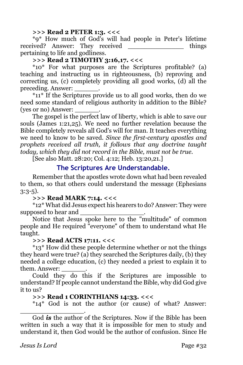#### **>>> Read 2 PETER 1:3. <<<**

\*9\* How much of God's will had people in Peter's lifetime received? Answer: They received things pertaining to life and godliness.

# **>>> Read 2 TIMOTHY 3:16,17. <<<**

\*10\* For what purposes are the Scriptures profitable? (a) teaching and instructing us in righteousness, (b) reproving and correcting us, (c) completely providing all good works, (d) all the preceding. Answer:

\*11\* If the Scriptures provide us to all good works, then do we need some standard of religious authority in addition to the Bible? (yes or no) Answer:

The gospel is the perfect law of liberty, which is able to save our souls (James 1:21,25). We need no further revelation because the Bible completely reveals all God's will for man. It teaches everything we need to know to be saved. *Since the first-century apostles and prophets received all truth, it follows that any doctrine taught today, which they did not record in the Bible, must not be true.*

[See also Matt. 28:20; Col. 4:12; Heb. 13:20,21.]

# **The Scriptures Are Understandable.**

Remember that the apostles wrote down what had been revealed to them, so that others could understand the message (Ephesians 3:3-5).

#### **>>> Read MARK 7:14. <<<**

\*12\* What did Jesus expect his hearers to do? Answer: They were supposed to hear and

Notice that Jesus spoke here to the "multitude" of common people and He required "everyone" of them to understand what He taught.

# **>>> Read ACTS 17:11. <<<**

\*13\* How did these people determine whether or not the things they heard were true? (a) they searched the Scriptures daily, (b) they needed a college education, (c) they needed a priest to explain it to them. Answer: \_\_\_\_\_\_.

Could they do this if the Scriptures are impossible to understand? If people cannot understand the Bible, why did God give it to us?

# **>>> Read 1 CORINTHIANS 14:33. <<<**

\*14\* God is not the author (or cause) of what? Answer:

\_\_\_\_\_\_\_\_\_\_\_\_\_\_\_\_. God *is* the author of the Scriptures. Now if the Bible has been written in such a way that it is impossible for men to study and understand it, then God would be the author of confusion. Since He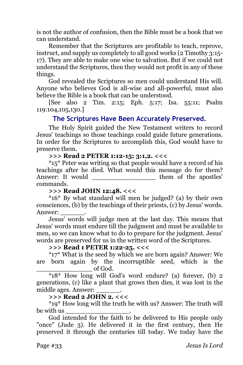is not the author of confusion, then the Bible must be a book that we can understand.

Remember that the Scriptures are profitable to teach, reprove, instruct, and supply us completely to all good works (2 Timothy 3:15- 17). They are able to make one wise to salvation. But if we could not understand the Scriptures, then they would not profit in any of these things.

God revealed the Scriptures so men could understand His will. Anyone who believes God is all-wise and all-powerful, must also believe the Bible is a book that can be understood.

[See also 2 Tim. 2:15; Eph. 5:17; Isa. 55:11; Psalm 119:104,105,130.]

# **The Scriptures Have Been Accurately Preserved.**

The Holy Spirit guided the New Testament writers to record Jesus' teachings so those teachings could guide future generations. In order for the Scriptures to accomplish this, God would have to preserve them.

#### **>>> Read 2 PETER 1:12-15; 3:1,2. <<<**

\*15\* Peter was writing so that people would have a record of his teachings after he died. What would this message do for them? Answer: It would \_\_\_\_\_\_\_\_\_\_\_\_\_\_\_\_\_\_\_\_\_\_\_\_ them of the apostles' commands.

#### **>>> Read JOHN 12:48. <<<**

\*16\* By what standard will men be judged? (a) by their own consciences, (b) by the teachings of their priests, (c) by Jesus' words. Answer:

Jesus' words will judge men at the last day. This means that Jesus' words must endure till the judgment and must be available to men, so we can know what to do to prepare for the judgment. Jesus' words are preserved for us in the written word of the Scriptures.

#### **>>> Read 1 PETER 1:22-25. <<<**

\*17\* What is the seed by which we are born again? Answer: We are born again by the incorruptible seed, which is the \_\_\_\_\_\_\_\_\_\_\_\_\_\_ of God.

\*18\* How long will God's word endure? (a) forever, (b) 2 generations, (c) like a plant that grows then dies, it was lost in the middle ages. Answer:

#### **>>> Read 2 JOHN 2. <<<**

\*19\* How long will the truth be with us? Answer: The truth will be with us \_\_\_\_\_\_\_\_\_\_\_\_\_\_\_\_.

God intended for the faith to be delivered to His people only "once" (Jude 3). He delivered it in the first century, then He preserved it through the centuries till today. We today have the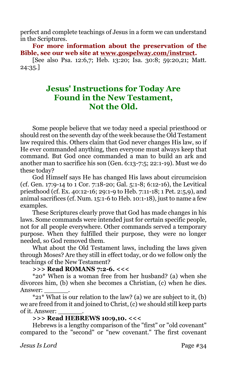perfect and complete teachings of Jesus in a form we can understand in the Scriptures.

**For more information about the preservation of the Bible, see our web site at [www.gospelway.com/instruct.](http://www.gospelway.com/)**

[See also Psa. 12:6,7; Heb. 13:20; Isa. 30:8; 59:20,21; Matt. 24:35.]

# **Jesus' Instructions for Today Are Found in the New Testament, Not the Old.**

Some people believe that we today need a special priesthood or should rest on the seventh day of the week because the Old Testament law required this. Others claim that God never changes His law, so if He ever commanded anything, then everyone must always keep that command. But God once commanded a man to build an ark and another man to sacrifice his son (Gen. 6:13-7:5; 22:1-19). Must we do these today?

God Himself says He has changed His laws about circumcision (cf. Gen. 17:9-14 to 1 Cor. 7:18-20; Gal. 5:1-8; 6:12-16), the Levitical priesthood (cf. Ex. 40:12-16; 29:1-9 to Heb. 7:11-18; 1 Pet. 2:5,9), and animal sacrifices (cf. Num. 15:1-6 to Heb. 10:1-18), just to name a few examples.

These Scriptures clearly prove that God has made changes in his laws. Some commands were intended just for certain specific people, not for all people everywhere. Other commands served a temporary purpose. When they fulfilled their purpose, they were no longer needed, so God removed them.

What about the Old Testament laws, including the laws given through Moses? Are they still in effect today, or do we follow only the teachings of the New Testament?

**>>> Read ROMANS 7:2-6. <<<** 

\*20\* When is a woman free from her husband? (a) when she divorces him, (b) when she becomes a Christian, (c) when he dies. Answer:

 $*21*$  What is our relation to the law? (a) we are subject to it, (b) we are freed from it and joined to Christ, (c) we should still keep parts of it. Answer: \_\_\_\_\_\_.

## **>>> Read HEBREWS 10:9,10. <<<**

Hebrews is a lengthy comparison of the "first" or "old covenant" compared to the "second" or "new covenant." The first covenant

*Jesus Is Lord* Page #34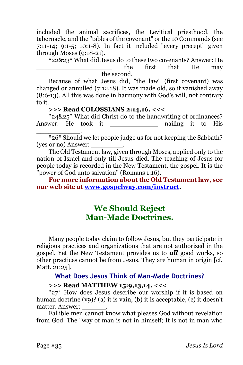included the animal sacrifices, the Levitical priesthood, the tabernacle, and the "tables of the covenant" or the 10 Commands (see 7:11-14; 9:1-5; 10:1-8). In fact it included "every precept" given through Moses (9:18-21).

\*22&23\* What did Jesus do to these two covenants? Answer: He the first that He may the second.

Because of what Jesus did, "the law" (first covenant) was changed or annulled (7:12,18). It was made old, so it vanished away (8:6-13). All this was done in harmony with God's will, not contrary to it.

#### **>>> Read COLOSSIANS 2:14,16. <<<**

\*24&25\* What did Christ do to the handwriting of ordinances? Answer: He took it a nailing it to His \_\_\_\_\_\_\_\_\_\_\_.

\*26\* Should we let people judge us for not keeping the Sabbath? (yes or no) Answer: \_\_\_\_\_\_\_\_.

The Old Testament law, given through Moses, applied only to the nation of Israel and only till Jesus died. The teaching of Jesus for people today is recorded in the New Testament, the gospel. It is the "power of God unto salvation" (Romans 1:16).

**For more information about the Old Testament law, see our web site at [www.gospelway.com/instruct.](http://www.gospelway.com/)** 

# **We Should Reject Man-Made Doctrines.**

Many people today claim to follow Jesus, but they participate in religious practices and organizations that are not authorized in the gospel. Yet the New Testament provides us to *all* good works, so other practices cannot be from Jesus. They are human in origin [cf. Matt. 21:25].

#### **What Does Jesus Think of Man-Made Doctrines?**

#### **>>> Read MATTHEW 15:9,13,14. <<<**

\*27\* How does Jesus describe our worship if it is based on human doctrine (v9)? (a) it is vain, (b) it is acceptable, (c) it doesn't matter. Answer:

Fallible men cannot know what pleases God without revelation from God. The "way of man is not in himself; It is not in man who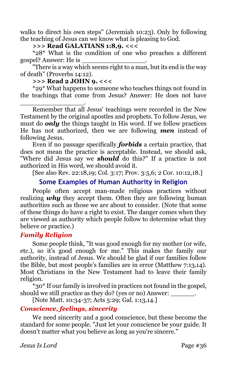walks to direct his own steps" (Jeremiah 10:23). Only by following the teaching of Jesus can we know what is pleasing to God.

### **>>> Read GALATIANS 1:8,9. <<<**

\*28\* What is the condition of one who preaches a different gospel? Answer: He is \_\_\_\_\_\_\_\_\_\_\_\_\_\_\_\_.

"There is a way which seems right to a man, but its end is the way of death" (Proverbs 14:12).

**>>> Read 2 JOHN 9. <<<**

\_\_\_\_\_\_\_\_\_\_\_\_\_\_\_\_.

\*29\* What happens to someone who teaches things not found in the teachings that come from Jesus? Answer: He does not have

Remember that all Jesus' teachings were recorded in the New Testament by the original apostles and prophets. To follow Jesus, we must do *only* the things taught in His word. If we follow practices He has not authorized, then we are following *men* instead of following Jesus.

Even if no passage specifically *forbids* a certain practice, that does not mean the practice is acceptable. Instead, we should ask, "Where did Jesus say we *should* do this?" If a practice is not authorized in His word, we should avoid it.

[See also Rev. 22:18,19; Col. 3:17; Prov. 3:5,6; 2 Cor. 10:12,18.]

# **Some Examples of Human Authority in Religion**

People often accept man-made religious practices without realizing *why* they accept them. Often they are following human authorities such as those we are about to consider. (Note that some of these things do have a right to exist. The danger comes when they are viewed as authority which people follow to determine what they believe or practice.)

# *Family Religion*

Some people think, "It was good enough for my mother (or wife, etc.), so it's good enough for me." This makes the family our authority, instead of Jesus. We should be glad if our families follow the Bible, but most people's families are in error (Matthew 7:13,14). Most Christians in the New Testament had to leave their family religion.

\*30\* If our family is involved in practices not found in the gospel, should we still practice as they do? (yes or no) Answer:

[Note Matt. 10:34-37; Acts 5:29; Gal. 1:13,14.]

# *Conscience, feelings, sincerity*

We need sincerity and a good conscience, but these become the standard for some people. "Just let your conscience be your guide. It doesn't matter what you believe as long as you're sincere."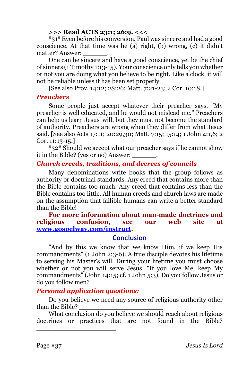#### **>>> Read ACTS 23:1; 26:9. <<<**

\*31\* Even before his conversion, Paul was sincere and had a good conscience. At that time was he (a) right, (b) wrong, (c) it didn't matter? Answer:

One can be sincere and have a good conscience, yet be the chief of sinners (1 Timothy 1:13-15). Your conscience only tells you whether or not you are doing what you believe to be right. Like a clock, it will not be reliable unless it has been set properly.

[See also Prov. 14:12; 28:26; Matt. 7:21-23; 2 Cor. 10:18.]

#### *Preachers*

Some people just accept whatever their preacher says. "My preacher is well educated, and he would not mislead me." Preachers can help us learn Jesus' will, but they must not become the standard of authority. Preachers are wrong when they differ from what Jesus said. [See also Acts 17:11; 20:29,30; Matt. 7:15; 15:14; 1 John 4:1,6; 2 Cor. 11:13-15.]

\*32\* Should we accept what our preacher says if he cannot show it in the Bible? (yes or no) Answer:

# *Church creeds, traditions, and decrees of councils*

Many denominations write books that the group follows as authority or doctrinal standards. Any creed that contains more than the Bible contains too much. Any creed that contains less than the Bible contains too little. All human creeds and church laws are made on the assumption that fallible humans can write a better standard than the Bible!

#### **For more information about man-made doctrines and religious confusion, see our web site at [www.gospelway.com/instruct.](http://www.gospelway.com/)**

# **Conclusion**

"And by this we know that we know Him, if we keep His commandments" (1 John 2:3-6). A true disciple devotes his lifetime to serving his Master's will. During your lifetime you must choose whether or not you will serve Jesus. "If you love Me, keep My commandments" (John 14:15; cf. 1 John 5:3). Do you follow Jesus or do you follow men?

# *Personal application questions:*

\_\_\_\_\_\_\_\_\_\_\_\_\_\_\_\_\_\_\_\_

Do you believe we need any source of religious authority other than the Bible?

What conclusion do you believe we should reach about religious doctrines or practices that are not found in the Bible?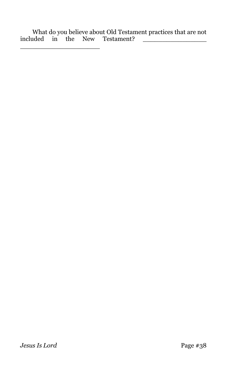What do you believe about Old Testament practices that are not included in the New Testament? \_\_\_\_\_\_\_\_\_\_\_\_\_\_\_\_

\_\_\_\_\_\_\_\_\_\_\_\_\_\_\_\_\_\_\_\_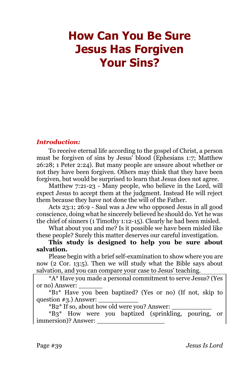# **How Can You Be Sure Jesus Has Forgiven Your Sins?**

#### *Introduction:*

To receive eternal life according to the gospel of Christ, a person must be forgiven of sins by Jesus' blood (Ephesians 1:7; Matthew 26:28; 1 Peter 2:24). But many people are unsure about whether or not they have been forgiven. Others may think that they have been forgiven, but would be surprised to learn that Jesus does not agree.

Matthew 7:21-23 - Many people, who believe in the Lord, will expect Jesus to accept them at the judgment. Instead He will reject them because they have not done the will of the Father.

Acts 23:1; 26:9 - Saul was a Jew who opposed Jesus in all good conscience, doing what he sincerely believed he should do. Yet he was the chief of sinners (1 Timothy 1:12-15). Clearly he had been misled.

What about you and me? Is it possible we have been misled like these people? Surely this matter deserves our careful investigation.

**This study is designed to help you be sure about salvation.** 

Please begin with a brief self-examination to show where you are now (2 Cor. 13:5). Then we will study what the Bible says about salvation, and you can compare your case to Jesus' teaching.

\*A\* Have you made a personal commitment to serve Jesus? (Yes or no) Answer: \_\_\_\_\_\_

\*B1\* Have you been baptized? (Yes or no) (If not, skip to question  $\#3$ .) Answer:

\*B2\* If so, about how old were you? Answer: \_\_\_\_\_\_\_\_\_\_

\*B3\* How were you baptized (sprinkling, pouring, or immersion)? Answer: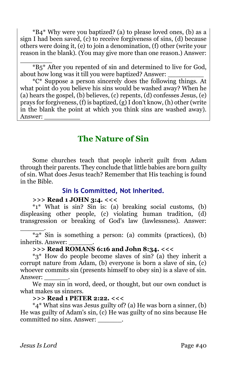\*B4\* Why were you baptized? (a) to please loved ones, (b) as a sign I had been saved, (c) to receive forgiveness of sins, (d) because others were doing it, (e) to join a denomination, (f) other (write your reason in the blank). (You may give more than one reason.) Answer:

 $\overline{\phantom{a}}$  . The contract of the contract of the contract of the contract of the contract of the contract of the contract of the contract of the contract of the contract of the contract of the contract of the contract of \*B5\* After you repented of sin and determined to live for God, about how long was it till you were baptized? Answer:

\*C\* Suppose a person sincerely does the following things. At what point do you believe his sins would be washed away? When he (a) hears the gospel, (b) believes, (c) repents, (d) confesses Jesus, (e) prays for forgiveness, (f) is baptized,  $(g)$  I don't know, (h) other (write in the blank the point at which you think sins are washed away). Answer: \_\_\_\_\_\_\_\_\_

# **The Nature of Sin**

Some churches teach that people inherit guilt from Adam through their parents. They conclude that little babies are born guilty of sin. What does Jesus teach? Remember that His teaching is found in the Bible.

# **Sin Is Committed, Not Inherited.**

# **>>> Read 1 JOHN 3:4. <<<**

\*1\* What is sin? Sin is: (a) breaking social customs, (b) displeasing other people, (c) violating human tradition, (d) transgression or breaking of God's law (lawlessness). Answer:

\_\_\_\_\_\_. \*2\* Sin is something a person: (a) commits (practices), (b) inherits. Answer: \_\_\_\_\_\_.

### **>>> Read ROMANS 6:16 and John 8:34. <<<**

\*3\* How do people become slaves of sin? (a) they inherit a corrupt nature from Adam, (b) everyone is born a slave of sin, (c) whoever commits sin (presents himself to obey sin) is a slave of sin. Answer:

We may sin in word, deed, or thought, but our own conduct is what makes us sinners.

#### **>>> Read 1 PETER 2:22. <<<**

\*4\* What sins was Jesus guilty of? (a) He was born a sinner, (b) He was guilty of Adam's sin, (c) He was guilty of no sins because He committed no sins. Answer: \_\_\_\_\_\_.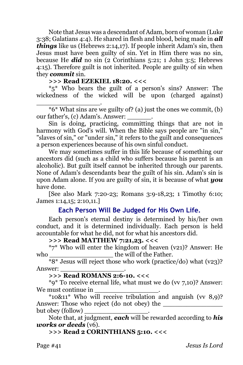Note that Jesus was a descendant of Adam, born of woman (Luke 3:38; Galatians 4:4). He shared in flesh and blood, being made in *all things* like us (Hebrews 2:14,17). If people inherit Adam's sin, then Jesus must have been guilty of sin. Yet in Him there was no sin, because He *did* no sin (2 Corinthians 5:21; 1 John 3:5; Hebrews 4:15). Therefore guilt is not inherited. People are guilty of sin when they *commit* sin.

#### **>>> Read EZEKIEL 18:20. <<<**

\*5\* Who bears the guilt of a person's sins? Answer: The wickedness of the wicked will be upon (charged against)

\_\_\_\_\_\_\_\_\_\_\_\_\_\_\_\_. \*6\* What sins are we guilty of? (a) just the ones we commit, (b) our father's, (c) Adam's. Answer:

Sin is doing, practicing, committing things that are not in harmony with God's will. When the Bible says people are "in sin," "slaves of sin," or "under sin," it refers to the guilt and consequences a person experiences because of his own sinful conduct.

We may sometimes suffer in this life because of something our ancestors did (such as a child who suffers because his parent is an alcoholic). But guilt itself cannot be inherited through our parents. None of Adam's descendants bear the guilt of his sin. Adam's sin is upon Adam alone. If you are guilty of sin, it is because of what *you* have done.

[See also Mark 7:20-23; Romans 3:9-18,23; 1 Timothy 6:10; James 1:14,15; 2:10,11.]

# **Each Person Will Be Judged for His Own Life.**

Each person's eternal destiny is determined by his/her own conduct, and it is determined individually. Each person is held accountable for what he did, not for what his ancestors did.

#### **>>> Read MATTHEW 7:21,23. <<<**

\*7\* Who will enter the kingdom of heaven (v21)? Answer: He who the will of the Father.

\*8\* Jesus will reject those who work (practice/do) what (v23)? Answer: \_\_\_\_\_\_\_\_\_\_\_\_\_\_\_\_.

#### **>>> Read ROMANS 2:6-10. <<<**

\*9\* To receive eternal life, what must we do (vv 7,10)? Answer: We must continue in

 $*10\&11*$  Who will receive tribulation and anguish (vv 8,9)? Answer: Those who reject (do not obey) the but obey (follow) \_\_\_\_\_\_\_\_\_\_\_\_\_\_\_\_.

Note that, at judgment, *each* will be rewarded according to *his works or deeds* (v6).

#### **>>> Read 2 CORINTHIANS 5:10. <<<**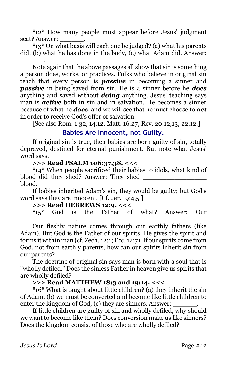\*12\* How many people must appear before Jesus' judgment seat? Answer:

\*13\* On what basis will each one be judged? (a) what his parents did, (b) what he has done in the body, (c) what Adam did. Answer: \_\_\_\_\_\_.

Note again that the above passages all show that sin is something a person does, works, or practices. Folks who believe in original sin teach that every person is *passive* in becoming a sinner and *passive* in being saved from sin. He is a sinner before he *does* anything and saved without *doing* anything. Jesus' teaching says man is *active* both in sin and in salvation. He becomes a sinner because of what he *does*, and we will see that he must choose to *act* in order to receive God's offer of salvation.

[See also Rom. 1:32; 14:12; Matt. 16:27; Rev. 20:12,13; 22:12.]

## **Babies Are Innocent, not Guilty.**

If original sin is true, then babies are born guilty of sin, totally depraved, destined for eternal punishment. But note what Jesus' word says.

# **>>> Read PSALM 106:37,38. <<<**

\*14\* When people sacrificed their babies to idols, what kind of blood did they shed? Answer: They shed \_\_\_\_\_\_\_\_\_\_\_\_\_\_\_\_ blood.

If babies inherited Adam's sin, they would be guilty; but God's word says they are innocent. [Cf. Jer. 19:4,5.]

# **>>> Read HEBREWS 12:9. <<<**

\*15\* God is the Father of what? Answer: Our \_\_\_\_\_\_\_\_\_\_\_\_\_\_.

Our fleshly nature comes through our earthly fathers (like Adam). But God is the Father of our spirits. He gives the spirit and forms it within man (cf. Zech. 12:1; Ecc. 12:7). If our spirits come from God, not from earthly parents, how can our spirits inherit sin from our parents?

The doctrine of original sin says man is born with a soul that is "wholly defiled." Does the sinless Father in heaven give us spirits that are wholly defiled?

#### **>>> Read MATTHEW 18:3 and 19:14. <<<**

\*16\* What is taught about little children? (a) they inherit the sin of Adam, (b) we must be converted and become like little children to enter the kingdom of God, (c) they are sinners. Answer:

If little children are guilty of sin and wholly defiled, why should we want to become like them? Does conversion make us like sinners? Does the kingdom consist of those who are wholly defiled?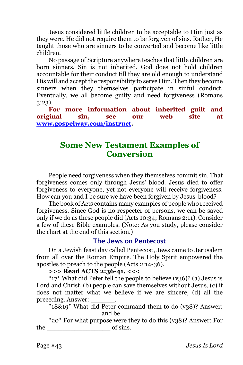Jesus considered little children to be acceptable to Him just as they were. He did not require them to be forgiven of sins. Rather, He taught those who are sinners to be converted and become like little children.

No passage of Scripture anywhere teaches that little children are born sinners. Sin is not inherited. God does not hold children accountable for their conduct till they are old enough to understand His will and accept the responsibility to serve Him. Then they become sinners when they themselves participate in sinful conduct. Eventually, we all become guilty and need forgiveness (Romans 3:23).

**For more information about inherited guilt and original sin, see our web site at [www.gospelway.com/instruct.](http://www.gospelway.com/)** 

# **Some New Testament Examples of Conversion**

People need forgiveness when they themselves commit sin. That forgiveness comes only through Jesus' blood. Jesus died to offer forgiveness to everyone, yet not everyone will receive forgiveness. How can you and I be sure we have been forgiven by Jesus' blood?

The book of Acts contains many examples of people who received forgiveness. Since God is no respecter of persons, we can be saved only if we do as these people did (Acts 10:34; Romans 2:11). Consider a few of these Bible examples. (Note: As you study, please consider the chart at the end of this section.)

#### **The Jews on Pentecost**

On a Jewish feast day called Pentecost, Jews came to Jerusalem from all over the Roman Empire. The Holy Spirit empowered the apostles to preach to the people (Acts 2:14-36).

**>>> Read ACTS 2:36-41. <<<**

 $*_{17}$  What did Peter tell the people to believe (v36)? (a) Jesus is Lord and Christ, (b) people can save themselves without Jesus, (c) it does not matter what we believe if we are sincere, (d) all the preceding. Answer:

\*18&19\* What did Peter command them to do (v38)? Answer: and be

\*20\* For what purpose were they to do this (v38)? Answer: For the of sins.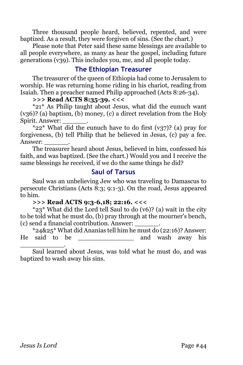Three thousand people heard, believed, repented, and were baptized. As a result, they were forgiven of sins. (See the chart.)

Please note that Peter said these same blessings are available to all people everywhere, as many as hear the gospel, including future generations (v39). This includes you, me, and all people today.

# **The Ethiopian Treasurer**

The treasurer of the queen of Ethiopia had come to Jerusalem to worship. He was returning home riding in his chariot, reading from Isaiah. Then a preacher named Philip approached (Acts 8:26-34).

#### **>>> Read ACTS 8:35-39. <<<**

\*21\* As Philip taught about Jesus, what did the eunuch want (v36)? (a) baptism, (b) money, (c) a direct revelation from the Holy Spirit. Answer: \_\_\_\_\_\_.

\*22\* What did the eunuch have to do first (v37)? (a) pray for forgiveness, (b) tell Philip that he believed in Jesus, (c) pay a fee. Answer:

The treasurer heard about Jesus, believed in him, confessed his faith, and was baptized. (See the chart.) Would you and I receive the same blessings he received, if we do the same things he did?

#### **Saul of Tarsus**

Saul was an unbelieving Jew who was traveling to Damascus to persecute Christians (Acts  $\overline{8:3}$ ; 9:1-3). On the road, Jesus appeared to him.

#### **>>> Read ACTS 9:3-6,18; 22:16. <<<**

\*23\* What did the Lord tell Saul to do (v6)? (a) wait in the city to be told what he must do, (b) pray through at the mourner's bench, (c) send a financial contribution. Answer: \_\_\_\_\_\_.

\*24&25\* What did Ananias tell him he must do (22:16)? Answer: He said to be \_\_\_\_\_\_\_\_\_\_\_\_\_\_\_\_\_\_\_\_\_\_\_\_ and wash away his \_\_\_\_\_\_\_\_\_\_\_.

Saul learned about Jesus, was told what he must do, and was baptized to wash away his sins.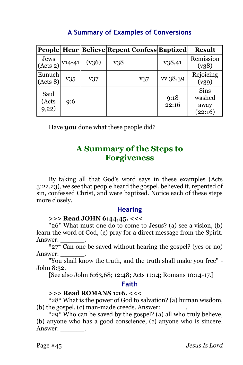|                                 |     |       |     |     | People   Hear   Believe   Repent   Confess   Baptized | <b>Result</b>                     |
|---------------------------------|-----|-------|-----|-----|-------------------------------------------------------|-----------------------------------|
| Jews<br>(Acts 2) $\vert$ V14-41 |     | (v36) | v38 |     | v38,41                                                | Remission<br>(v38)                |
| Eunuch<br>(Acts 8)              | v35 | v37   |     | v37 | vv 38,39                                              | Rejoicing<br>(v39)                |
| Saul<br>(Acts<br>9,22)          | 9:6 |       |     |     | 9:18<br>22:16                                         | Sins<br>washed<br>away<br>(22:16) |

# **A Summary of Examples of Conversions**

Have *you* done what these people did?

# **A Summary of the Steps to Forgiveness**

By taking all that God's word says in these examples (Acts 3:22,23), we see that people heard the gospel, believed it, repented of sin, confessed Christ, and were baptized. Notice each of these steps more closely.

# **Hearing**

# **>>> Read JOHN 6:44,45. <<<**

\*26\* What must one do to come to Jesus? (a) see a vision, (b) learn the word of God, (c) pray for a direct message from the Spirit. Answer:

\*27\* Can one be saved without hearing the gospel? (yes or no) Answer: \_\_\_\_\_\_.

"You shall know the truth, and the truth shall make you free" - John 8:32.

[See also John 6:63,68; 12:48; Acts 11:14; Romans 10:14-17.]

# **Faith**

# **>>> Read ROMANS 1:16. <<<**

\*28\* What is the power of God to salvation? (a) human wisdom,  $(b)$  the gospel,  $(c)$  man-made creeds. Answer:

 $*29*$  Who can be saved by the gospel? (a) all who truly believe, (b) anyone who has a good conscience, (c) anyone who is sincere. Answer: \_\_\_\_\_\_\_\_.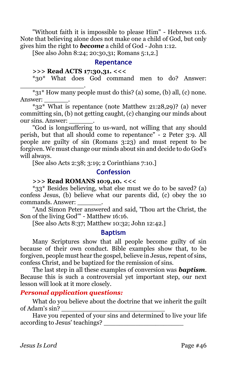"Without faith it is impossible to please Him" - Hebrews 11:6. Note that believing alone does not make one a child of God, but only gives him the right to *become* a child of God - John 1:12.

[See also John 8:24; 20:30,31; Romans 5:1,2.]

#### **Repentance**

#### **>>> Read ACTS 17:30,31. <<<**

\*30\* What does God command men to do? Answer: \_\_\_\_\_\_\_\_\_\_\_\_\_\_\_\_.

\*31\* How many people must do this? (a) some, (b) all, (c) none. Answer:

\*32\* What is repentance (note Matthew 21:28,29)? (a) never committing sin, (b) not getting caught, (c) changing our minds about our sins. Answer:

"God is longsuffering to us-ward, not willing that any should perish, but that all should come to repentance" - 2 Peter 3:9. All people are guilty of sin (Romans 3:23) and must repent to be forgiven. We must change our minds about sin and decide to do God's will always.

[See also Acts 2:38; 3:19; 2 Corinthians 7:10.]

#### **Confession**

### **>>> Read ROMANS 10:9,10. <<<**

\*33\* Besides believing, what else must we do to be saved? (a) confess Jesus, (b) believe what our parents did, (c) obey the 10 commands. Answer: \_\_\_\_\_\_.

"And Simon Peter answered and said, 'Thou art the Christ, the Son of the living God'" - Matthew 16:16.

[See also Acts 8:37; Matthew 10:32; John 12:42.]

#### **Baptism**

Many Scriptures show that all people become guilty of sin because of their own conduct. Bible examples show that, to be forgiven, people must hear the gospel, believe in Jesus, repent of sins, confess Christ, and be baptized for the remission of sins.

The last step in all these examples of conversion was *baptism*. Because this is such a controversial yet important step, our next lesson will look at it more closely.

#### *Personal application questions:*

What do you believe about the doctrine that we inherit the guilt of Adam's sin?

Have you repented of your sins and determined to live your life according to Jesus' teachings?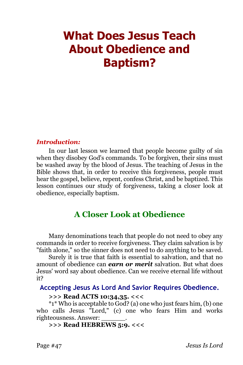# **What Does Jesus Teach About Obedience and Baptism?**

#### *Introduction:*

In our last lesson we learned that people become guilty of sin when they disobey God's commands. To be forgiven, their sins must be washed away by the blood of Jesus. The teaching of Jesus in the Bible shows that, in order to receive this forgiveness, people must hear the gospel, believe, repent, confess Christ, and be baptized. This lesson continues our study of forgiveness, taking a closer look at obedience, especially baptism.

# **A Closer Look at Obedience**

Many denominations teach that people do not need to obey any commands in order to receive forgiveness. They claim salvation is by "faith alone," so the sinner does not need to do anything to be saved.

Surely it is true that faith is essential to salvation, and that no amount of obedience can *earn or merit* salvation. But what does Jesus' word say about obedience. Can we receive eternal life without it?

#### **Accepting Jesus As Lord And Savior Requires Obedience.**

## **>>> Read ACTS 10:34,35. <<<**

\*1\* Who is acceptable to God? (a) one who just fears him, (b) one who calls Jesus "Lord," (c) one who fears Him and works righteousness. Answer: \_\_\_\_\_\_.

# **>>> Read HEBREWS 5:9. <<<**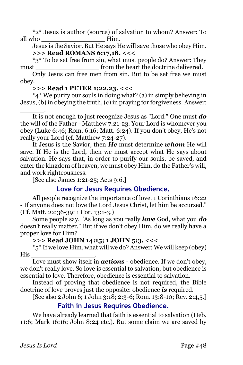\*2\* Jesus is author (source) of salvation to whom? Answer: To all who **health** Him.

Jesus is the Savior. But He says He will save those who obey Him. **>>> Read ROMANS 6:17,18. <<<**

\*3\* To be set free from sin, what must people do? Answer: They must must from the heart the doctrine delivered.

Only Jesus can free men from sin. But to be set free we must obey.

**>>> Read 1 PETER 1:22,23. <<<**

\*4\* We purify our souls in doing what? (a) in simply believing in Jesus, (b) in obeying the truth, (c) in praying for forgiveness. Answer:

\_\_\_\_\_\_. It is not enough to just recognize Jesus as "Lord." One must *do* the will of the Father - Matthew 7:21-23. Your Lord is whomever you obey (Luke 6:46; Rom. 6:16; Matt. 6:24). If you don't obey, He's not really your Lord (cf. Matthew 7:24-27).

If Jesus is the Savior, then *He* must determine *whom* He will save. If He is the Lord, then we must accept what He says about salvation. He says that, in order to purify our souls, be saved, and enter the kingdom of heaven, we must obey Him, do the Father's will, and work righteousness.

[See also James 1:21-25; Acts 9:6.]

# **Love for Jesus Requires Obedience.**

All people recognize the importance of love. 1 Corinthians 16:22 - If anyone does not love the Lord Jesus Christ, let him be accursed." (Cf. Matt. 22:36-39; 1 Cor. 13:1-3.)

Some people say, "As long as you really *love* God, what you *do* doesn't really matter." But if we don't obey Him, do we really have a proper love for Him?

# **>>> Read JOHN 14:15; 1 JOHN 5:3. <<<**

\*5\* If we love Him, what will we do? Answer: We will keep (obey)  $His \qquad \qquad \qquad \qquad$ 

Love must show itself in *actions* - obedience. If we don't obey, we don't really love. So love is essential to salvation, but obedience is essential to love. Therefore, obedience is essential to salvation.

Instead of proving that obedience is not required, the Bible doctrine of love proves just the opposite: obedience *is* required.

[See also 2 John 6; 1 John 3:18; 2:3-6; Rom. 13:8-10; Rev. 2:4,5.]

# **Faith in Jesus Requires Obedience.**

We have already learned that faith is essential to salvation (Heb. 11:6; Mark 16:16; John 8:24 etc.). But some claim we are saved by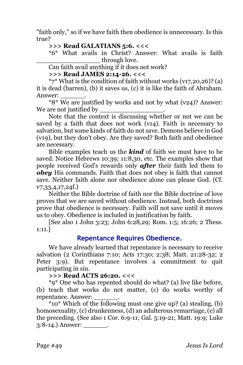"faith only," so if we have faith then obedience is unnecessary. Is this true?

#### **>>> Read GALATIANS 5:6. <<<**

\*6\* What avails in Christ? Answer: What avails is faith through love.

Can faith avail anything if it does not work?

#### **>>> Read JAMES 2:14-26. <<<**

 $*7*$  What is the condition of faith without works (v17,20,26)? (a) it is dead (barren), (b) it saves us, (c) it is like the faith of Abraham. Answer:

\*8\* We are justified by works and not by what (v24)? Answer: We are not justified by

Note that the context is discussing whether or not we can be saved by a faith that does not work (v14). Faith is necessary to salvation, but some kinds of faith do not save. Demons believe in God (v19), but they don't obey. Are they saved? Both faith and obedience are necessary.

Bible examples teach us the *kind* of faith we must have to be saved. Notice Hebrews 10:39; 11:8,30, etc. The examples show that people received God's rewards only *after* their faith led them to *obey* His commands. Faith that does not obey is faith that cannot save. Neither faith alone nor obedience alone can please God. (Cf. v7,33,4,17,24f.)

Neither the Bible doctrine of faith nor the Bible doctrine of love proves that we are saved without obedience. Instead, both doctrines prove that obedience is necessary. Faith will not save until it moves us to obey. Obedience is included in justification by faith.

[See also 1 John 3:23; John 6:28,29; Rom. 1:5; 16:26; 2 Thess. 1:11.]

# **Repentance Requires Obedience.**

We have already learned that repentance is necessary to receive salvation (2 Corinthians 7:10; Acts 17:30; 2:38; Matt. 21:28-32; 2 Peter 3:9). But repentance involves a commitment to quit participating in sin.

#### **>>> Read ACTS 26:20. <<<**

\*9\* One who has repented should do what? (a) live like before, (b) teach that works do not matter, (c) do works worthy of repentance. Answer:

\*10\* Which of the following must one give up? (a) stealing, (b) homosexuality, (c) drunkenness, (d) an adulterous remarriage, (e) all the preceding. (See also 1 Cor. 6:9-11; Gal. 5:19-21; Matt. 19:9; Luke 3:8-14.) Answer: .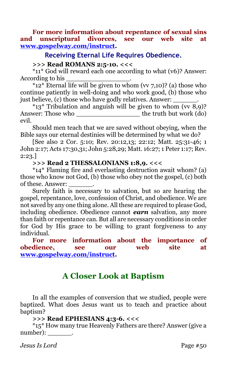**For more information about repentance of sexual sins and unscriptural divorces, see our web site at [www.gospelway.com/instruct.](http://www.gospelway.com/)** 

#### **Receiving Eternal Life Requires Obedience.**

#### **>>> Read ROMANS 2:5-10. <<<**

\*11\* God will reward each one according to what (v6)? Answer: According to his

 $*12*$  Eternal life will be given to whom (vv 7,10)? (a) those who continue patiently in well-doing and who work good, (b) those who just believe, (c) those who have godly relatives. Answer:

 $*13*$  Tribulation and anguish will be given to whom (vv 8,9)? Answer: Those who \_\_\_\_\_\_\_\_\_\_\_\_\_\_\_\_ the truth but work (do) evil.

Should men teach that we are saved without obeying, when the Bible says our eternal destinies will be determined by what we do?

[See also 2 Cor. 5:10; Rev. 20:12,13; 22:12; Matt. 25:31-46; 1 John 2:17; Acts 17:30,31; John 5:28,29; Matt. 16:27; 1 Peter 1:17; Rev. 2:23.]

#### **>>> Read 2 THESSALONIANS 1:8,9. <<<**

\*14\* Flaming fire and everlasting destruction await whom? (a) those who know not God, (b) those who obey not the gospel, (c) both of these. Answer:

Surely faith is necessary to salvation, but so are hearing the gospel, repentance, love, confession of Christ, and obedience. We are not saved by any one thing alone. All these are required to please God, including obedience. Obedience cannot *earn* salvation, any more than faith or repentance can. But all are necessary conditions in order for God by His grace to be willing to grant forgiveness to any individual.

**For more information about the importance of obedience, see our web site at [www.gospelway.com/instruct.](http://www.gospelway.com/)** 

# **A Closer Look at Baptism**

In all the examples of conversion that we studied, people were baptized. What does Jesus want us to teach and practice about baptism?

#### **>>> Read EPHESIANS 4:3-6. <<<**

\*15\* How many true Heavenly Fathers are there? Answer (give a number):

*Jesus Is Lord* Page #50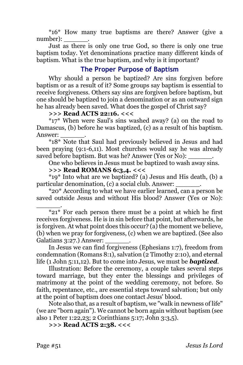\*16\* How many true baptisms are there? Answer (give a number):

Just as there is only one true God, so there is only one true baptism today. Yet denominations practice many different kinds of baptism. What is the true baptism, and why is it important?

# **The Proper Purpose of Baptism**

Why should a person be baptized? Are sins forgiven before baptism or as a result of it? Some groups say baptism is essential to receive forgiveness. Others say sins are forgiven before baptism, but one should be baptized to join a denomination or as an outward sign he has already been saved. What does the gospel of Christ say?

#### **>>> Read ACTS 22:16. <<<**

\*17\* When were Saul's sins washed away? (a) on the road to Damascus, (b) before he was baptized, (c) as a result of his baptism. Answer:

\*18\* Note that Saul had previously believed in Jesus and had been praying (9:1-6,11). Most churches would say he was already saved before baptism. But was he? Answer (Yes or No):

One who believes in Jesus must be baptized to wash away sins.

#### **>>> Read ROMANS 6:3,4. <<<**

\*19\* Into what are we baptized? (a) Jesus and His death, (b) a particular denomination, (c) a social club. Answer:

\*20\* According to what we have earlier learned, can a person be saved outside Jesus and without His blood? Answer (Yes or No): \_\_\_\_\_\_.

In Jesus we can find forgiveness (Ephesians 1:7), freedom from condemnation (Romans 8:1), salvation (2 Timothy 2:10), and eternal life (1 John 5:11,12). But to come into Jesus, we must be *baptized*.

Illustration: Before the ceremony, a couple takes several steps toward marriage, but they enter the blessings and privileges of matrimony at the point of the wedding ceremony, not before. So faith, repentance, etc., are essential steps toward salvation; but only at the point of baptism does one contact Jesus' blood.

Note also that, as a result of baptism, we "walk in newness of life" (we are "born again"). We cannot be born again without baptism (see also 1 Peter 1:22,23; 2 Corinthians 5:17; John 3:3,5).

**>>> Read ACTS 2:38. <<<**

 $\overline{21^*}$  For each person there must be a point at which he first receives forgiveness. He is in sin before that point, but afterwards, he is forgiven. At what point does this occur? (a) the moment we believe, (b) when we pray for forgiveness, (c) when we are baptized. (See also Galatians 3:27.) Answer: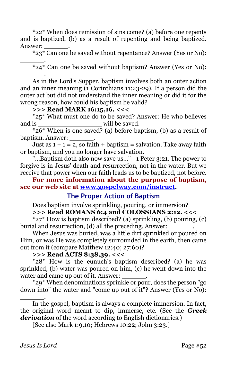\*22\* When does remission of sins come? (a) before one repents and is baptized, (b) as a result of repenting and being baptized. Answer:

\*23\* Can one be saved without repentance? Answer (Yes or No): \_\_\_\_\_\_.

 $*_{24}*$  Can one be saved without baptism? Answer (Yes or No):

\_\_\_\_\_\_. As in the Lord's Supper, baptism involves both an outer action and an inner meaning (1 Corinthians 11:23-29). If a person did the outer act but did not understand the inner meaning or did it for the wrong reason, how could his baptism be valid?

#### **>>> Read MARK 16:15,16. <<<**

\*25\* What must one do to be saved? Answer: He who believes and is  $\omega$  will be saved.

 $*_{26}$ <sup>\*</sup> When is one saved? (a) before baptism, (b) as a result of baptism. Answer: \_\_\_\_\_\_.

Just as  $1 + 1 = 2$ , so faith + baptism = salvation. Take away faith or baptism, and you no longer have salvation.

"...Baptism doth also now save us..." - 1 Peter 3:21. The power to forgive is in Jesus' death and resurrection, not in the water. But we receive that power when our faith leads us to be baptized, not before.

**For more information about the purpose of baptism, see our web site at [www.gospelway.com/instruct.](http://www.gospelway.com/)** 

# **The Proper Action of Baptism**

Does baptism involve sprinkling, pouring, or immersion?

#### **>>> Read ROMANS 6:4 and COLOSSIANS 2:12. <<<**

\*27\* How is baptism described? (a) sprinkling, (b) pouring, (c) burial and resurrection, (d) all the preceding. Answer:

When Jesus was buried, was a little dirt sprinkled or poured on Him, or was He was completely surrounded in the earth, then came out from it (compare Matthew 12:40; 27:60)?

#### **>>> Read ACTS 8:38,39. <<<**

\*28\* How is the eunuch's baptism described? (a) he was sprinkled, (b) water was poured on him, (c) he went down into the water and came up out of it. Answer:

\*29\* When denominations sprinkle or pour, does the person "go down into" the water and "come up out of it"? Answer (Yes or No):

\_\_\_\_\_\_. In the gospel, baptism is always a complete immersion. In fact, the original word meant to dip, immerse, etc. (See the *Greek derivation* of the word according to English dictionaries.)

[See also Mark 1:9,10; Hebrews 10:22; John 3:23.]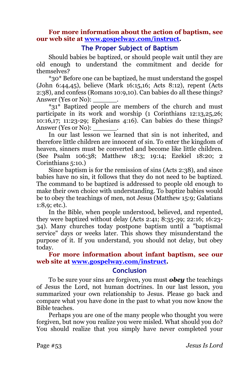#### **For more information about the action of baptism, see our web site at [www.gospelway.com/instruct.](http://www.gospelway.com/)**

# **The Proper Subject of Baptism**

Should babies be baptized, or should people wait until they are old enough to understand the commitment and decide for themselves?

\*30\* Before one can be baptized, he must understand the gospel (John 6:44,45), believe (Mark 16:15,16; Acts 8:12), repent (Acts 2:38), and confess (Romans 10:9,10). Can babies do all these things? Answer (Yes or No):

\*31\* Baptized people are members of the church and must participate in its work and worship (1 Corinthians 12:13,25,26; 10:16,17; 11:23-29; Ephesians 4:16). Can babies do these things? Answer (Yes or No):

In our last lesson we learned that sin is not inherited, and therefore little children are innocent of sin. To enter the kingdom of heaven, sinners must be converted and become like little children. (See Psalm 106:38; Matthew 18:3; 19:14; Ezekiel 18:20; 2 Corinthians 5:10.)

Since baptism is for the remission of sins (Acts 2:38), and since babies have no sin, it follows that they do not need to be baptized. The command to be baptized is addressed to people old enough to make their own choice with understanding. To baptize babies would be to obey the teachings of men, not Jesus (Matthew 15:9; Galatians 1:8,9; etc.).

In the Bible, when people understood, believed, and repented, they were baptized without delay (Acts 2:41; 8:35-39; 22:16; 16:23- 34). Many churches today postpone baptism until a "baptismal service" days or weeks later. This shows they misunderstand the purpose of it. If you understand, you should not delay, but obey today.

#### **For more information about infant baptism, see our web site at [www.gospelway.com/instruct.](http://www.gospelway.com/)**

#### **Conclusion**

To be sure your sins are forgiven, you must *obey* the teachings of Jesus the Lord, not human doctrines. In our last lesson, you summarized your own relationship to Jesus. Please go back and compare what you have done in the past to what you now know the Bible teaches.

Perhaps you are one of the many people who thought you were forgiven, but now you realize you were misled. What should you do? You should realize that you simply have never completed your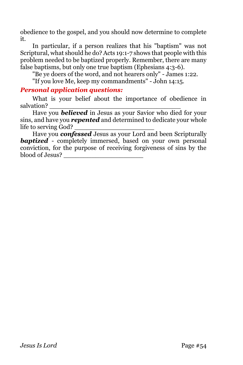obedience to the gospel, and you should now determine to complete it.

In particular, if a person realizes that his "baptism" was not Scriptural, what should he do? Acts 19:1-7 shows that people with this problem needed to be baptized properly. Remember, there are many false baptisms, but only one true baptism (Ephesians 4:3-6).

"Be ye doers of the word, and not hearers only" - James 1:22.

"If you love Me, keep my commandments" - John 14:15.

#### *Personal application questions:*

What is your belief about the importance of obedience in salvation?

Have you *believed* in Jesus as your Savior who died for your sins, and have you *repented* and determined to dedicate your whole life to serving God?

Have you *confessed* Jesus as your Lord and been Scripturally **baptized** - completely immersed, based on your own personal conviction, for the purpose of receiving forgiveness of sins by the blood of Jesus? \_\_\_\_\_\_\_\_\_\_\_\_\_\_\_\_\_\_\_\_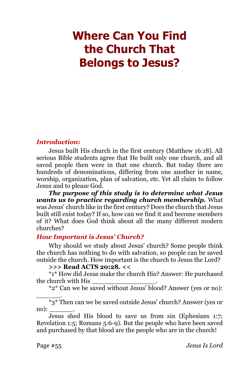# **Where Can You Find the Church That Belongs to Jesus?**

#### *Introduction:*

Jesus built His church in the first century (Matthew 16:18). All serious Bible students agree that He built only one church, and all saved people then were in that one church. But today there are hundreds of denominations, differing from one another in name, worship, organization, plan of salvation, etc. Yet all claim to follow Jesus and to please God.

*The purpose of this study is to determine what Jesus wants us to practice regarding church membership.* What was Jesus' church like in the first century? Does the church that Jesus built still exist today? If so, how can we find it and become members of it? What does God think about all the many different modern churches?

#### *How Important is Jesus' Church?*

Why should we study about Jesus' church? Some people think the church has nothing to do with salvation, so people can be saved outside the church. How important is the church to Jesus the Lord?

#### **>>> Read ACTS 20:28. <<**

\*1\* How did Jesus make the church His? Answer: He purchased the church with His \_\_\_\_\_\_\_\_\_\_\_\_\_\_\_\_.

\*2\* Can we be saved without Jesus' blood? Answer (yes or no):

\_\_\_\_\_\_.  $*3*$  Then can we be saved outside Jesus' church? Answer (yes or no):  $\overline{\phantom{a}}$ 

Jesus shed His blood to save us from sin (Ephesians 1:7; Revelation 1:5; Romans 5:6-9). But the people who have been saved and purchased by that blood are the people who are in the church!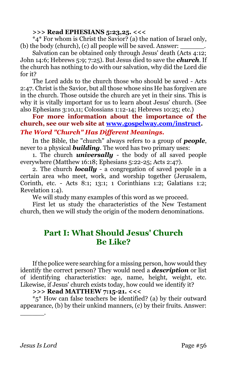### **>>> Read EPHESIANS 5:23,25. <<<**

\*4\* For whom is Christ the Savior? (a) the nation of Israel only, (b) the body (church),  $(c)$  all people will be saved. Answer:

Salvation can be obtained only through Jesus' death (Acts 4:12; John 14:6; Hebrews 5:9; 7:25). But Jesus died to save the *church*. If the church has nothing to do with our salvation, why did the Lord die for it?

The Lord adds to the church those who should be saved - Acts 2:47. Christ is the Savior, but all those whose sins He has forgiven are in the church. Those outside the church are yet in their sins. This is why it is vitally important for us to learn about Jesus' church. (See also Ephesians 3:10,11; Colossians 1:12-14; Hebrews 10:25; etc.)

**For more information about the importance of the church, see our web site at [www.gospelway.com/instruct.](http://www.gospelway.com/)**  *The Word "Church" Has Different Meanings.* 

In the Bible, the "church" always refers to a group of *people*, never to a physical *building*. The word has two primary uses:

1. The church *universally* - the body of all saved people everywhere (Matthew 16:18; Ephesians 5:22-25; Acts 2:47).

2. The church *locally* - a congregation of saved people in a certain area who meet, work, and worship together (Jerusalem, Corinth, etc. - Acts 8:1; 13:1; 1 Corinthians 1:2; Galatians 1:2; Revelation 1:4).

We will study many examples of this word as we proceed.

First let us study the characteristics of the New Testament church, then we will study the origin of the modern denominations.

# **Part I: What Should Jesus' Church Be Like?**

If the police were searching for a missing person, how would they identify the correct person? They would need a *description* or list of identifying characteristics: age, name, height, weight, etc. Likewise, if Jesus' church exists today, how could we identify it?

**>>> Read MATTHEW 7:15-21. <<<**

\*5\* How can false teachers be identified? (a) by their outward appearance, (b) by their unkind manners, (c) by their fruits. Answer: \_\_\_\_\_\_.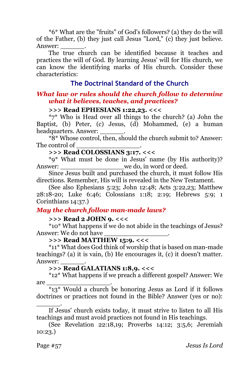\*6\* What are the "fruits" of God's followers? (a) they do the will of the Father, (b) they just call Jesus "Lord," (c) they just believe. Answer:

The true church can be identified because it teaches and practices the will of God. By learning Jesus' will for His church, we can know the identifying marks of His church. Consider these characteristics:

# **The Doctrinal Standard of the Church**

#### *What law or rules should the church follow to determine what it believes, teaches, and practices?*

#### **>>> Read EPHESIANS 1:22,23. <<<**

\*7\* Who is Head over all things to the church? (a) John the Baptist, (b) Peter, (c) Jesus, (d) Mohammed, (e) a human headquarters. Answer:  $\qquad \qquad$ .

\*8\* Whose control, then, should the church submit to? Answer: The control of \_\_\_\_\_\_\_\_\_\_\_\_\_\_\_\_.

# **>>> Read COLOSSIANS 3:17. <<<**

\*9\* What must be done in Jesus' name (by His authority)? Answer: we do, in word or deed.

Since Jesus built and purchased the church, it must follow His directions. Remember, His will is revealed in the New Testament.

(See also Ephesians 5:23; John 12:48; Acts 3:22,23; Matthew 28:18-20; Luke 6:46; Colossians 1:18; 2:19; Hebrews 5:9; 1 Corinthians 14:37.)

#### *May the church follow man-made laws?*

**>>> Read 2 JOHN 9. <<<**

\*10\* What happens if we do not abide in the teachings of Jesus? Answer: We do not have

#### **>>> Read MATTHEW 15:9. <<<**

\*11\* What does God think of worship that is based on man-made teachings? (a) it is vain, (b) He encourages it, (c) it doesn't matter. Answer:

#### **>>> Read GALATIANS 1:8,9. <<<**

\*12\* What happens if we preach a different gospel? Answer: We are \_\_\_\_\_\_\_\_\_\_\_\_\_\_\_\_.

\*13\* Would a church be honoring Jesus as Lord if it follows doctrines or practices not found in the Bible? Answer (yes or no): \_\_\_\_\_\_.

If Jesus' church exists today, it must strive to listen to all His teachings and must avoid practices not found in His teachings.

(See Revelation 22:18,19; Proverbs 14:12; 3:5,6; Jeremiah 10:23.)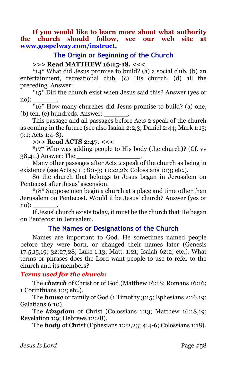**If you would like to learn more about what authority the church should follow, see our web site at [www.gospelway.com/instruct.](http://www.gospelway.com/)** 

## **The Origin or Beginning of the Church**

### **>>> Read MATTHEW 16:15-18. <<<**

\*14\* What did Jesus promise to build? (a) a social club, (b) an entertainment, recreational club, (c) His church, (d) all the preceding. Answer: \_\_\_\_\_\_.

 $*15*$  Did the church exist when Jesus said this? Answer (yes or  $\text{no):}$ 

\*16\* How many churches did Jesus promise to build? (a) one, (b) ten, (c) hundreds. Answer:

This passage and all passages before Acts 2 speak of the church as coming in the future (see also Isaiah 2:2,3; Daniel 2:44; Mark 1:15; 9:1; Acts 1:4-8).

**>>> Read ACTS 2:47. <<<**

\*17\* Who was adding people to His body (the church)? (Cf. vv 38,41.) Answer: The

Many other passages after Acts 2 speak of the church as being in existence (see Acts 5:11; 8:1-3; 11:22,26; Colossians 1:13; etc.).

So the church that belongs to Jesus began in Jerusalem on Pentecost after Jesus' ascension.

\*18\* Suppose men begin a church at a place and time other than Jerusalem on Pentecost. Would it be Jesus' church? Answer (yes or  $\text{no):}$ 

If Jesus' church exists today, it must be the church that He began on Pentecost in Jerusalem.

# **The Names or Designations of the Church**

Names are important to God. He sometimes named people before they were born, or changed their names later (Genesis 17:5,15,19; 32:27,28; Luke 1:13; Matt. 1:21; Isaiah 62:2; etc.). What terms or phrases does the Lord want people to use to refer to the church and its members?

# *Terms used for the church:*

The *church* of Christ or of God (Matthew 16:18; Romans 16:16; 1 Corinthians 1:2; etc.).

The *house* or family of God (1 Timothy 3:15; Ephesians 2:16,19; Galatians 6:10).

The *kingdom* of Christ (Colossians 1:13; Matthew 16:18,19; Revelation 1:9; Hebrews 12:28).

The *body* of Christ (Ephesians 1:22,23; 4:4-6; Colossians 1:18).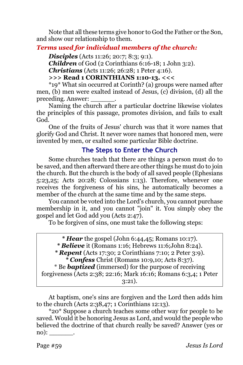Note that all these terms give honor to God the Father or the Son, and show our relationship to them.

# *Terms used for individual members of the church:*

*Disciples* (Acts 11:26; 20:7; 8:3; 9:1). *Children* of God (2 Corinthians 6:16-18; 1 John 3:2). *Christians* (Acts 11:26; 26:28; 1 Peter 4:16). **>>> Read 1 CORINTHIANS 1:10-13. <<<**

\*19\* What sin occurred at Corinth? (a) groups were named after men, (b) men were exalted instead of Jesus, (c) division, (d) all the preceding. Answer: \_\_\_\_\_\_.

Naming the church after a particular doctrine likewise violates the principles of this passage, promotes division, and fails to exalt God.

One of the fruits of Jesus' church was that it wore names that glorify God and Christ. It never wore names that honored men, were invented by men, or exalted some particular Bible doctrine.

# **The Steps to Enter the Church**

Some churches teach that there are things a person must do to be saved, and then afterward there are other things he must do to join the church. But the church is the body of all saved people (Ephesians 5:23,25; Acts 20:28; Colossians 1:13). Therefore, whenever one receives the forgiveness of his sins, he automatically becomes a member of the church at the same time and by the same steps.

You cannot be voted into the Lord's church, you cannot purchase membership in it, and you cannot "join" it. You simply obey the gospel and let God add you (Acts 2:47).

To be forgiven of sins, one must take the following steps:

- *\* Believe* it (Romans 1:16; Hebrews 11:6;John 8:24).
- *\* Repent* (Acts 17:30; 2 Corinthians 7:10; 2 Peter 3:9).

*\* Confess* Christ (Romans 10:9,10; Acts 8:37).

\* Be *baptized* (immersed) for the purpose of receiving forgiveness (Acts 2:38; 22:16; Mark 16:16; Romans 6:3,4; 1 Peter

3:21).

At baptism, one's sins are forgiven and the Lord then adds him to the church (Acts 2:38,47; 1 Corinthians 12:13).

\*20\* Suppose a church teaches some other way for people to be saved. Would it be honoring Jesus as Lord, and would the people who believed the doctrine of that church really be saved? Answer (yes or no):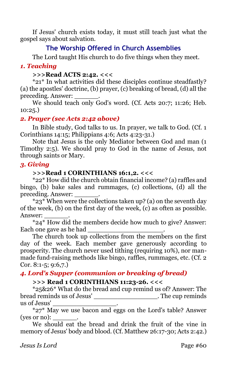If Jesus' church exists today, it must still teach just what the gospel says about salvation.

# **The Worship Offered in Church Assemblies**

The Lord taught His church to do five things when they meet.

# *1. Teaching*

## **>>>Read ACTS 2:42. <<<**

\*21\* In what activities did these disciples continue steadfastly? (a) the apostles' doctrine, (b) prayer, (c) breaking of bread, (d) all the preceding. Answer:

We should teach only God's word. (Cf. Acts 20:7; 11:26; Heb. 10:25.)

# *2. Prayer (see Acts 2:42 above)*

In Bible study, God talks to us. In prayer, we talk to God. (Cf. 1 Corinthians 14:15; Philippians 4:6; Acts 4:23-31.)

Note that Jesus is the only Mediator between God and man (1 Timothy 2:5). We should pray to God in the name of Jesus, not through saints or Mary.

# *3. Giving*

## **>>>Read 1 CORINTHIANS 16:1,2. <<<**

\*22\* How did the church obtain financial income? (a) raffles and bingo, (b) bake sales and rummages, (c) collections, (d) all the preceding. Answer: \_\_\_\_\_\_.

 $*23*$  When were the collections taken up? (a) on the seventh day of the week, (b) on the first day of the week, (c) as often as possible. Answer:

\*24\* How did the members decide how much to give? Answer: Each one gave as he had

The church took up collections from the members on the first day of the week. Each member gave generously according to prosperity. The church never used tithing (requiring 10%), nor manmade fund-raising methods like bingo, raffles, rummages, etc. (Cf. 2 Cor. 8:1-5; 9:6,7.)

# *4. Lord's Supper (communion or breaking of bread)*

# **>>> Read 1 CORINTHIANS 11:23-26. <<<**

\*25&26\* What do the bread and cup remind us of? Answer: The bread reminds us of Jesus' The cup reminds us of Jesus' \_\_\_\_\_\_\_\_\_\_\_\_\_\_\_\_.

\*27\* May we use bacon and eggs on the Lord's table? Answer  $ives or no):$ 

We should eat the bread and drink the fruit of the vine in memory of Jesus' body and blood. (Cf. Matthew 26:17-30; Acts 2:42.)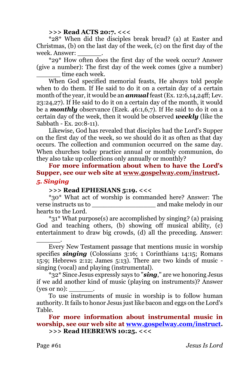#### **>>> Read ACTS 20:7. <<<**

\*28\* When did the disciples break bread? (a) at Easter and Christmas, (b) on the last day of the week, (c) on the first day of the week. Answer:

\*29\* How often does the first day of the week occur? Answer (give a number): The first day of the week comes (give a number) time each week.

When God specified memorial feasts, He always told people when to do them. If He said to do it on a certain day of a certain month of the year, it would be an *annual* feast (Ex. 12:6,14,24ff; Lev. 23:24,27). If He said to do it on a certain day of the month, it would be a *monthly* observance (Ezek. 46:1,6,7). If He said to do it on a certain day of the week, then it would be observed *weekly* (like the Sabbath - Ex. 20:8-11).

Likewise, God has revealed that disciples had the Lord's Supper on the first day of the week, so we should do it as often as that day occurs. The collection and communion occurred on the same day. When churches today practice annual or monthly communion, do they also take up collections only annually or monthly?

**For more information about when to have the Lord's Supper, see our web site at [www.gospelway.com/instruct.](http://www.gospelway.com/)**  *5. Singing*

#### **>>> Read EPHESIANS 5:19. <<<**

\*30\* What act of worship is commanded here? Answer: The verse instructs us to \_\_\_\_\_\_\_\_\_\_\_\_\_\_\_\_ and make melody in our hearts to the Lord.

\*31\* What purpose(s) are accomplished by singing? (a) praising God and teaching others, (b) showing off musical ability, (c) entertainment to draw big crowds, (d) all the preceding. Answer:

Every New Testament passage that mentions music in worship specifies **singing** (Colossians 3:16; 1 Corinthians 14:15; Romans 15:9; Hebrews 2:12; James 5:13). There are two kinds of music singing (vocal) and playing (instrumental).

\*32\* Since Jesus expressly says to "*sing*," are we honoring Jesus if we add another kind of music (playing on instruments)? Answer (yes or no):

To use instruments of music in worship is to follow human authority. It fails to honor Jesus just like bacon and eggs on the Lord's Table.

**For more information about instrumental music in worship, see our web site at [www.gospelway.com/instruct.](http://www.gospelway.com/) >>> Read HEBREWS 10:25. <<<**

\_\_\_\_\_\_.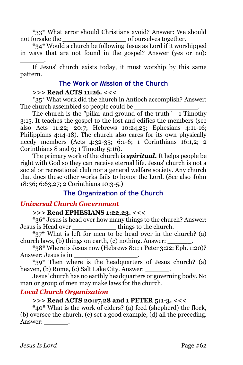\*33\* What error should Christians avoid? Answer: We should not forsake the  $\qquad \qquad$  of ourselves together.

\*34\* Would a church be following Jesus as Lord if it worshipped in ways that are not found in the gospel? Answer (yes or no): \_\_\_\_\_\_.

If Jesus' church exists today, it must worship by this same pattern.

# **The Work or Mission of the Church**

## **>>> Read ACTS 11:26. <<<**

\*35\* What work did the church in Antioch accomplish? Answer: The church assembled so people could be

The church is the "pillar and ground of the truth" - 1 Timothy 3:15. It teaches the gospel to the lost and edifies the members (see also Acts 11:22; 20:7; Hebrews 10:24,25; Ephesians 4:11-16; Philippians 4:14-18). The church also cares for its own physically needy members (Acts 4:32-35; 6:1-6; 1 Corinthians 16:1,2; 2 Corinthians 8 and 9; 1 Timothy 5:16).

The primary work of the church is *spiritual.* It helps people be right with God so they can receive eternal life. Jesus' church is not a social or recreational club nor a general welfare society. Any church that does these other works fails to honor the Lord. (See also John 18:36; 6:63,27; 2 Corinthians 10:3-5.)

# **The Organization of the Church**

# *Universal Church Government*

# **>>> Read EPHESIANS 1:22,23. <<<**

\*36\* Jesus is head over how many things to the church? Answer: Jesus is Head over \_\_\_\_\_\_\_\_\_\_\_ things to the church.

\*37\* What is left for men to be head over in the church? (a) church laws,  $(b)$  things on earth,  $(c)$  nothing. Answer:

\*38\* Where is Jesus now (Hebrews 8:1; 1 Peter 3:22; Eph. 1:20)? Answer: Jesus is in \_\_\_\_\_\_\_\_\_\_\_\_\_\_\_\_.

\*39\* Then where is the headquarters of Jesus church? (a) heaven, (b) Rome, (c) Salt Lake City. Answer:

Jesus' church has no earthly headquarters or governing body. No man or group of men may make laws for the church.

# *Local Church Organization*

# **>>> Read ACTS 20:17,28 and 1 PETER 5:1-3. <<<**

\*40\* What is the work of elders? (a) feed (shepherd) the flock, (b) oversee the church, (c) set a good example, (d) all the preceding. Answer: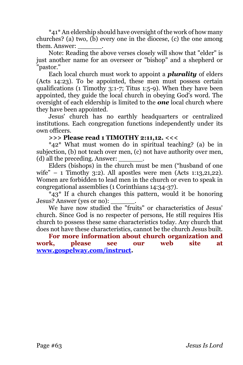\*41\* An eldership should have oversight of the work of how many churches? (a) two,  $(b)$  every one in the diocese,  $(c)$  the one among them. Answer:

Note: Reading the above verses closely will show that "elder" is just another name for an overseer or "bishop" and a shepherd or "pastor."

Each local church must work to appoint a *plurality* of elders (Acts 14:23). To be appointed, these men must possess certain qualifications (1 Timothy 3:1-7; Titus 1:5-9). When they have been appointed, they guide the local church in obeying God's word. The oversight of each eldership is limited to the *one* local church where they have been appointed.

Jesus' church has no earthly headquarters or centralized institutions. Each congregation functions independently under its own officers.

#### **>>> Please read 1 TIMOTHY 2:11,12. <<<**

\*42\* What must women do in spiritual teaching? (a) be in subjection, (b) not teach over men, (c) not have authority over men, (d) all the preceding. Answer:

Elders (bishops) in the church must be men ("husband of one wife" – 1 Timothy 3:2). All apostles were men (Acts 1:13,21,22). Women are forbidden to lead men in the church or even to speak in congregational assemblies (1 Corinthians 14:34-37).

\*43\* If a church changes this pattern, would it be honoring Jesus? Answer (yes or no): \_\_\_\_\_\_.

We have now studied the "fruits" or characteristics of Jesus' church. Since God is no respecter of persons, He still requires His church to possess these same characteristics today. Any church that does not have these characteristics, cannot be the church Jesus built.

**For more information about church organization and work, please see our web site at [www.gospelway.com/instruct.](http://www.gospelway.com/)**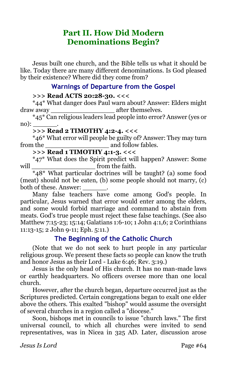# **Part II. How Did Modern Denominations Begin?**

Jesus built one church, and the Bible tells us what it should be like. Today there are many different denominations. Is God pleased by their existence? Where did they come from?

# **Warnings of Departure from the Gospel**

#### **>>> Read ACTS 20:28-30. <<<**

\*44\* What danger does Paul warn about? Answer: Elders might draw away \_\_\_\_\_\_\_\_\_\_\_\_\_\_\_\_ after themselves.

\*45\* Can religious leaders lead people into error? Answer (yes or  $\text{no}:$ 

#### **>>> Read 2 TIMOTHY 4:2-4. <<<**

\*46\* What error will people be guilty of? Answer: They may turn from the and follow fables.

# **>>> Read 1 TIMOTHY 4:1-3. <<<**

\*47\* What does the Spirit predict will happen? Answer: Some will \_\_\_\_\_\_\_\_\_\_\_\_\_\_\_\_ from the faith.

\*48\* What particular doctrines will be taught? (a) some food (meat) should not be eaten, (b) some people should not marry, (c) both of these. Answer: \_\_\_\_\_\_.

Many false teachers have come among God's people. In particular, Jesus warned that error would enter among the elders, and some would forbid marriage and command to abstain from meats. God's true people must reject these false teachings. (See also Matthew 7:15-23; 15:14; Galatians 1:6-10; 1 John 4:1,6; 2 Corinthians 11:13-15; 2 John 9-11; Eph. 5:11.)

# **The Beginning of the Catholic Church**

(Note that we do not seek to hurt people in any particular religious group. We present these facts so people can know the truth and honor Jesus as their Lord - Luke 6:46; Rev. 3:19.)

Jesus is the only head of His church. It has no man-made laws or earthly headquarters. No officers oversee more than one local church.

However, after the church began, departure occurred just as the Scriptures predicted. Certain congregations began to exalt one elder above the others. This exalted "bishop" would assume the oversight of several churches in a region called a "diocese."

Soon, bishops met in councils to issue "church laws." The first universal council, to which all churches were invited to send representatives, was in Nicea in 325 AD. Later, discussion arose

*Jesus Is Lord* Page #64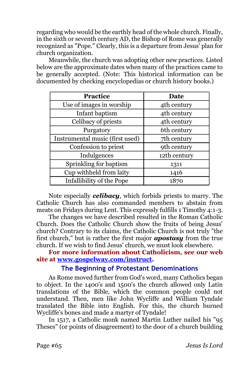regarding who would be the earthly head of the whole church. Finally, in the sixth or seventh century AD, the Bishop of Rome was generally recognized as "Pope." Clearly, this is a departure from Jesus' plan for church organization.

Meanwhile, the church was adopting other new practices. Listed below are the approximate dates when many of the practices came to be generally accepted. (Note: This historical information can be documented by checking encyclopedias or church history books.)

| <b>Practice</b>                 | Date         |  |
|---------------------------------|--------------|--|
| Use of images in worship        | 4th century  |  |
| Infant baptism                  | 4th century  |  |
| Celibacy of priests             | 4th century  |  |
| Purgatory                       | 6th century  |  |
| Instrumental music (first used) | 7th century  |  |
| Confession to priest            | 9th century  |  |
| Indulgences                     | 12th century |  |
| Sprinkling for baptism          | 1311         |  |
| Cup withheld from laity         | 1416         |  |
| Infallibility of the Pope       | 1870         |  |

Note especially *celibacy*, which forbids priests to marry. The Catholic Church has also commanded members to abstain from meats on Fridays during Lent. This expressly fulfills 1 Timothy 4:1-3.

The changes we have described resulted in the Roman Catholic Church. Does the Catholic Church show the fruits of being Jesus' church? Contrary to its claims, the Catholic Church is not truly "the first church," but is rather the first major *apostasy* from the true church. If we wish to find Jesus' church, we must look elsewhere.

**For more information about Catholicism, see our web site at [www.gospelway.com/instruct.](http://www.gospelway.com/)** 

# **The Beginning of Protestant Denominations**

As Rome moved further from God's word, many Catholics began to object. In the 1400's and 1500's the church allowed only Latin translations of the Bible, which the common people could not understand. Then, men like John Wycliffe and William Tyndale translated the Bible into English. For this, the church burned Wycliffe's bones and made a martyr of Tyndale!

In 1517, a Catholic monk named Martin Luther nailed his "95 Theses" (or points of disagreement) to the door of a church building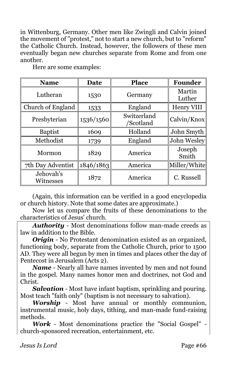in Wittenburg, Germany. Other men like Zwingli and Calvin joined the movement of "protest," not to start a new church, but to "reform" the Catholic Church. Instead, however, the followers of these men eventually began new churches separate from Rome and from one another.

| <b>Name</b>            | <b>Date</b> | <b>Place</b>             | Founder          |
|------------------------|-------------|--------------------------|------------------|
| Lutheran               | 1530        | Germany                  | Martin<br>Luther |
| Church of England      | 1533        | England                  | Henry VIII       |
| Presbyterian           | 1536/1560   | Switzerland<br>'Scotland | Calvin/Knox      |
| <b>Baptist</b>         | 1609        | Holland                  | John Smyth       |
| Methodist              | 1739        | England                  | John Wesley      |
| Mormon                 | 1829        | America                  | Joseph<br>Smith  |
| 7th Day Adventist      | 1846/1863   | America                  | Miller/White     |
| Jehovah's<br>Witnesses | 1872        | America                  | C. Russell       |

Here are some examples:

(Again, this information can be verified in a good encyclopedia or church history. Note that some dates are approximate.)

Now let us compare the fruits of these denominations to the characteristics of Jesus' church.

*Authority* - Most denominations follow man-made creeds as law in addition to the Bible.

*Origin* - No Protestant denomination existed as an organized, functioning body, separate from the Catholic Church, prior to 1500 AD. They were all begun by men in times and places other the day of Pentecost in Jerusalem (Acts 2).

*Name* - Nearly all have names invented by men and not found in the gospel. Many names honor men and doctrines, not God and Christ.

*Salvation* - Most have infant baptism, sprinkling and pouring. Most teach "faith only" (baptism is not necessary to salvation).

*Worship* - Most have annual or monthly communion, instrumental music, holy days, tithing, and man-made fund-raising methods.

*Work* - Most denominations practice the "Social Gospel" church-sponsored recreation, entertainment, etc.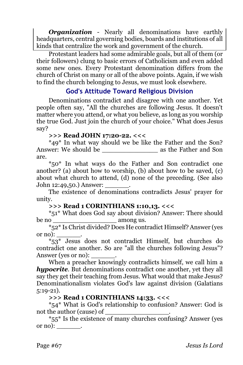*Organization* - Nearly all denominations have earthly headquarters, central governing bodies, boards and institutions of all kinds that centralize the work and government of the church.

Protestant leaders had some admirable goals, but all of them (or their followers) clung to basic errors of Catholicism and even added some new ones. Every Protestant denomination differs from the church of Christ on many or all of the above points. Again, if we wish to find the church belonging to Jesus, we must look elsewhere.

# **God's Attitude Toward Religious Division**

Denominations contradict and disagree with one another. Yet people often say, "All the churches are following Jesus. It doesn't matter where you attend, or what you believe, as long as you worship the true God. Just join the church of your choice." What does Jesus say?

#### **>>> Read JOHN 17:20-22. <<<**

\*49\* In what way should we be like the Father and the Son? Answer: We should be \_\_\_\_\_\_\_\_\_\_\_\_\_\_ as the Father and Son are.

\*50\* In what ways do the Father and Son contradict one another? (a) about how to worship, (b) about how to be saved, (c) about what church to attend, (d) none of the preceding. (See also John 12:49,50.) Answer: \_\_\_\_\_\_.

The existence of denominations contradicts Jesus' prayer for unity.

#### **>>> Read 1 CORINTHIANS 1:10,13. <<<**

\*51\* What does God say about division? Answer: There should be no contract among us.

\*52\* Is Christ divided? Does He contradict Himself? Answer (yes or no):

\*53\* Jesus does not contradict Himself, but churches do contradict one another. So are "all the churches following Jesus"? Answer (yes or no):

When a preacher knowingly contradicts himself, we call him a *hypocrite*. But denominations contradict one another, yet they all say they get their teaching from Jesus. What would that make Jesus? Denominationalism violates God's law against division (Galatians 5:19-21).

#### **>>> Read 1 CORINTHIANS 14:33. <<<**

\*54\* What is God's relationship to confusion? Answer: God is not the author (cause) of

 $*_{55}$ \* Is the existence of many churches confusing? Answer (yes or no):  $\_\_$ .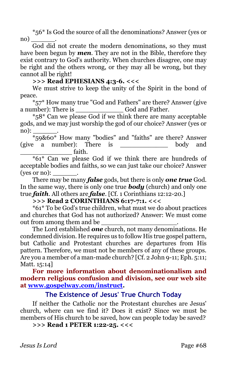\*56\* Is God the source of all the denominations? Answer (yes or no)

God did not create the modern denominations, so they must have been begun by *men*. They are not in the Bible, therefore they exist contrary to God's authority. When churches disagree, one may be right and the others wrong, or they may all be wrong, but they cannot all be right!

**>>> Read EPHESIANS 4:3-6. <<<**

We must strive to keep the unity of the Spirit in the bond of peace.

\*57\* How many true "God and Fathers" are there? Answer (give a number): There is \_\_\_\_\_\_\_\_\_\_\_\_ God and Father.

\*58\* Can we please God if we think there are many acceptable gods, and we may just worship the god of our choice? Answer (yes or  $\text{no):}$ 

\*59&60\* How many "bodies" and "faiths" are there? Answer (give a number): There is \_\_\_\_\_\_\_\_\_\_\_\_ body and \_\_\_\_\_\_\_\_\_\_\_\_\_ faith.

\*61\* Can we please God if we think there are hundreds of acceptable bodies and faiths, so we can just take our choice? Answer (yes or no):

There may be many *false* gods, but there is only *one true* God. In the same way, there is only one true *body* (church) and only one true *faith*. All others are *false*. [Cf. 1 Corinthians 12:12-20.]

#### **>>> Read 2 CORINTHIANS 6:17-7:1. <<<**

\*61\* To be God's true children, what must we do about practices and churches that God has not authorized? Answer: We must come out from among them and be

The Lord established *one* church, not many denominations. He condemned division. He requires us to follow His true gospel pattern, but Catholic and Protestant churches are departures from His pattern. Therefore, we must not be members of any of these groups. Are you a member of a man-made church? [Cf. 2 John 9-11; Eph. 5:11; Matt. 15:14]

**For more information about denominationalism and modern religious confusion and division, see our web site at [www.gospelway.com/instruct.](http://www.gospelway.com/)** 

## **The Existence of Jesus' True Church Today**

If neither the Catholic nor the Protestant churches are Jesus' church, where can we find it? Does it exist? Since we must be members of His church to be saved, how can people today be saved?

**>>> Read 1 PETER 1:22-25. <<<**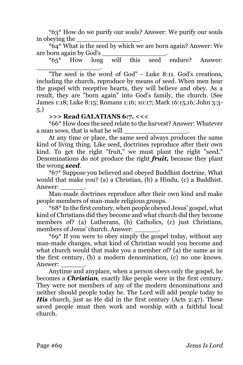\*63\* How do we purify our souls? Answer: We purify our souls in obeving the

\*64\* What is the seed by which we are born again? Answer: We are born again by God's \_\_\_\_\_\_\_\_\_\_\_\_\_\_\_\_.

\*65\* How long will this seed endure? Answer: \_\_\_\_\_\_\_\_\_\_\_\_\_\_\_\_.

"The seed is the word of God" - Luke 8:11. God's creations, including the church, reproduce by means of seed. When men hear the gospel with receptive hearts, they will believe and obey. As a result, they are "born again" into God's family, the church. (See James 1:18; Luke 8:15; Romans 1:16; 10:17; Mark 16:15,16; John 3:3- 5.)

#### **>>> Read GALATIANS 6:7. <<<**

\*66\* How does the seed relate to the harvest? Answer: Whatever a man sows, that is what he will

At any time or place, the same seed always produces the same kind of living thing. Like seed, doctrines reproduce after their own kind. To get the right "fruit," we must plant the right "seed." Denominations do not produce the right *fruit,* because they plant the wrong *seed*.

\*67\* Suppose you believed and obeyed Buddhist doctrine. What would that make you? (a) a Christian, (b) a Hindu, (c) a Buddhist. Answer:

Man-made doctrines reproduce after their own kind and make people members of man-made religious groups.

\*68\* In the first century, when people obeyed Jesus' gospel, what kind of Christians did they become and what church did they become members of? (a) Lutherans, (b) Catholics, (c) just Christians, members of Jesus' church. Answer:

\*69\* If you were to obey simply the gospel today, without any man-made changes, what kind of Christian would you become and what church would that make you a member of? (a) the same as in the first century, (b) a modern denomination, (c) no one knows. Answer:

Anytime and anyplace, when a person obeys only the gospel, he becomes a *Christian*, exactly like people were in the first century. They were not members of any of the modern denominations and neither should people today be. The Lord will add people today to *His* church, just as He did in the first century (Acts 2:47). These saved people must then work and worship with a faithful local church.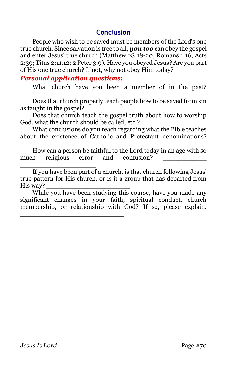# **Conclusion**

People who wish to be saved must be members of the Lord's one true church. Since salvation is free to all, *you too* can obey the gospel and enter Jesus' true church (Matthew 28:18-20; Romans 1:16; Acts 2:39; Titus 2:11,12; 2 Peter 3:9). Have you obeyed Jesus? Are you part of His one true church? If not, why not obey Him today?

#### *Personal application questions:*

\_\_\_\_\_\_\_\_\_\_\_\_\_\_\_\_\_\_\_\_\_\_\_\_\_\_

\_\_\_\_\_\_\_\_\_\_\_\_\_\_\_\_\_\_\_\_\_\_\_\_\_\_

\_\_\_\_\_\_\_\_\_\_\_\_\_\_\_\_\_\_\_\_

What church have you been a member of in the past?

Does that church properly teach people how to be saved from sin as taught in the gospel?

Does that church teach the gospel truth about how to worship God, what the church should be called, etc.?

What conclusions do you reach regarding what the Bible teaches about the existence of Catholic and Protestant denominations?

How can a person be faithful to the Lord today in an age with so much religious error and confusion?

\_\_\_\_\_\_\_\_\_\_\_\_\_\_\_\_\_\_\_ If you have been part of a church, is that church following Jesus' true pattern for His church, or is it a group that has departed from His way?

While you have been studying this course, have you made any significant changes in your faith, spiritual conduct, church membership, or relationship with God? If so, please explain.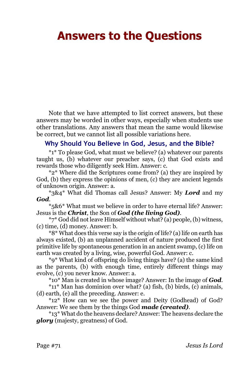# **Answers to the Questions**

Note that we have attempted to list correct answers, but these answers may be worded in other ways, especially when students use other translations. Any answers that mean the same would likewise be correct, but we cannot list all possible variations here.

### **Why Should You Believe in God, Jesus, and the Bible?**

\*1\* To please God, what must we believe? (a) whatever our parents taught us, (b) whatever our preacher says, (c) that God exists and rewards those who diligently seek Him. Answer: c.

\*2\* Where did the Scriptures come from? (a) they are inspired by God, (b) they express the opinions of men, (c) they are ancient legends of unknown origin. Answer: a.

\*3&4\* What did Thomas call Jesus? Answer: My *Lord* and my *God*.

\*5&6\* What must we believe in order to have eternal life? Answer: Jesus is the *Christ*, the Son of *God (the living God)*.

\*7\* God did not leave Himself without what? (a) people, (b) witness, (c) time, (d) money. Answer: b.

\*8\* What does this verse say is the origin of life? (a) life on earth has always existed, (b) an unplanned accident of nature produced the first primitive life by spontaneous generation in an ancient swamp, (c) life on earth was created by a living, wise, powerful God. Answer: c.

\*9\* What kind of offspring do living things have? (a) the same kind as the parents, (b) with enough time, entirely different things may evolve, (c) you never know. Answer: a.

\*10\* Man is created in whose image? Answer: In the image of *God*.

\*11\* Man has dominion over what? (a) fish, (b) birds, (c) animals, (d) earth, (e) all the preceding. Answer: e.

\*12\* How can we see the power and Deity (Godhead) of God? Answer: We see them by the things God *made (created)*.

\*13\* What do the heavens declare? Answer: The heavens declare the *glory* (majesty, greatness) of God.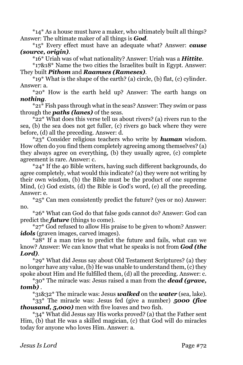\*14\* As a house must have a maker, who ultimately built all things? Answer: The ultimate maker of all things is *God*.

\*15\* Every effect must have an adequate what? Answer: *cause (source, origin)*.

\*16\* Uriah was of what nationality? Answer: Uriah was a *Hittite*.

\*17&18\* Name the two cities the Israelites built in Egypt. Answer: They built *Pithom* and *Raamses (Rameses)*.

\*19\* What is the shape of the earth? (a) circle, (b) flat, (c) cylinder. Answer: a.

\*20\* How is the earth held up? Answer: The earth hangs on *nothing*.

\*21\* Fish pass through what in the seas? Answer: They swim or pass through the *paths (lanes)* of the seas.

 $*22*$  What does this verse tell us about rivers? (a) rivers run to the sea, (b) the sea does not get fuller, (c) rivers go back where they were before, (d) all the preceding. Answer: d.

\*23\* Consider religious teachers who write by *human* wisdom. How often do you find them completely agreeing among themselves? (a) they always agree on everything, (b) they usually agree, (c) complete agreement is rare. Answer: c.

\*24\* If the 40 Bible writers, having such different backgrounds, do agree completely, what would this indicate? (a) they were not writing by their own wisdom, (b) the Bible must be the product of one supreme Mind, (c) God exists, (d) the Bible is God's word, (e) all the preceding. Answer: e.

\*25\* Can men consistently predict the future? (yes or no) Answer: no.

\*26\* What can God do that false gods cannot do? Answer: God can predict the *future* (things to come).

\*27\* God refused to allow His praise to be given to whom? Answer: *idols* (graven images, carved images).

\*28\* If a man tries to predict the future and fails, what can we know? Answer: We can know that what he speaks is not from *God (the Lord)*.

\*29\* What did Jesus say about Old Testament Scriptures? (a) they no longer have any value, (b) He was unable to understand them, (c) they spoke about Him and He fulfilled them, (d) all the preceding. Answer: c.

\*30\* The miracle was: Jesus raised a man from the *dead (grave, tomb)* .

\*31&32\* The miracle was: Jesus *walked* on the *water* (sea, lake).

\*33\* The miracle was: Jesus fed (give a number) *5000 (five thousand, 5,000)* men with five loaves and two fish.

\*34\* What did Jesus say His works proved? (a) that the Father sent Him, (b) that He was a skilled magician, (c) that God will do miracles today for anyone who loves Him. Answer: a.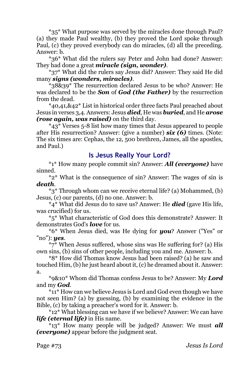\*35\* What purpose was served by the miracles done through Paul? (a) they made Paul wealthy, (b) they proved the Lord spoke through Paul, (c) they proved everybody can do miracles, (d) all the preceding. Answer: b.

\*36\* What did the rulers say Peter and John had done? Answer: They had done a great *miracle (sign, wonder)*.

\*37\* What did the rulers say Jesus did? Answer: They said He did many *signs (wonders, miracles)*.

\*38&39\* The resurrection declared Jesus to be who? Answer: He was declared to be the *Son* of *God (the Father)* by the resurrection from the dead.

\*40,41,&42\* List in historical order three facts Paul preached about Jesus in verses 3,4. Answers: Jesus *died*, He was *buried*, and He *arose (rose again, was raised)* on the third day.

\*43\* Verses 5-8 list how many times that Jesus appeared to people after His resurrection? Answer: (give a number) *six (6)* times. (Note: The six times are: Cephas, the 12, 500 brethren, James, all the apostles, and Paul.)

### **Is Jesus Really Your Lord?**

\*1\* How many people commit sin? Answer: *All (everyone)* have sinned.

\*2\* What is the consequence of sin? Answer: The wages of sin is *death*.

\*3\* Through whom can we receive eternal life? (a) Mohammed, (b) Jesus, (c) our parents, (d) no one. Answer: b.

\*4\* What did Jesus do to save us? Answer: He *died* (gave His life, was crucified) for us.

\*5\* What characteristic of God does this demonstrate? Answer: It demonstrates God's *love* for us.

\*6\* When Jesus died, was He dying for *you*? Answer ("Yes" or "no"): *yes*.

\*7\* When Jesus suffered, whose sins was He suffering for? (a) His own sins, (b) sins of other people, including you and me. Answer: b.

\*8\* How did Thomas know Jesus had been raised? (a) he saw and touched Him, (b) he just heard about it, (c) he dreamed about it. Answer: a.

\*9&10\* Whom did Thomas confess Jesus to be? Answer: My *Lord* and my *God*.

\*11\* How can we believe Jesus is Lord and God even though we have not seen Him? (a) by guessing, (b) by examining the evidence in the Bible, (c) by taking a preacher's word for it. Answer: b.

\*12\* What blessing can we have if we believe? Answer: We can have *life (eternal life)* in His name.

\*13\* How many people will be judged? Answer: We must *all (everyone)* appear before the judgment seat.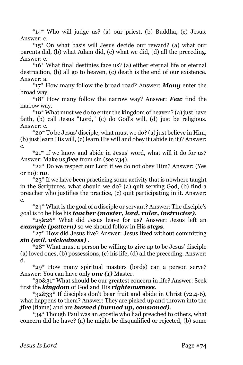\*14\* Who will judge us? (a) our priest, (b) Buddha, (c) Jesus. Answer: c.

\*15\* On what basis will Jesus decide our reward? (a) what our parents did, (b) what Adam did, (c) what we did, (d) all the preceding. Answer: c.

\*16\* What final destinies face us? (a) either eternal life or eternal destruction, (b) all go to heaven, (c) death is the end of our existence. Answer: a.

\*17\* How many follow the broad road? Answer: *Many* enter the broad way.

\*18\* How many follow the narrow way? Answer: *Few* find the narrow way.

\*19\* What must we do to enter the kingdom of heaven? (a) just have faith, (b) call Jesus "Lord," (c) do God's will, (d) just be religious. Answer: c.

\*20\* To be Jesus' disciple, what must we do? (a) just believe in Him, (b) just learn His will, (c) learn His will and obey it (abide in it)? Answer: c.

\*21\* If we know and abide in Jesus' word, what will it do for us? Answer: Make us **free** from sin (see v34).

\*22\* Do we respect our Lord if we do not obey Him? Answer: (Yes or no): *no*.

\*23\* If we have been practicing some activity that is nowhere taught in the Scriptures, what should we do? (a) quit serving God, (b) find a preacher who justifies the practice, (c) quit participating in it. Answer: c.

\*24\* What is the goal of a disciple or servant? Answer: The disciple's goal is to be like his *teacher (master, lord, ruler, instructor)*.

\*25&26\* What did Jesus leave for us? Answer: Jesus left an *example (pattern)* so we should follow in His *steps*.

 $*27*$  How did Jesus live? Answer: Jesus lived without committing *sin (evil, wickedness)* .

\*28\* What must a person be willing to give up to be Jesus' disciple (a) loved ones, (b) possessions, (c) his life, (d) all the preceding. Answer: d.

\*29\* How many spiritual masters (lords) can a person serve? Answer: You can have only *one (1)* Master.

\*30&31\* What should be our greatest concern in life? Answer: Seek first the *kingdom* of God and His *righteousness*.

\*32&33\* If disciples don't bear fruit and abide in Christ (v2,4-6), what happens to them? Answer: They are picked up and thrown into the *fire* (flame) and are *burned (burned up, consumed)*.

\*34\* Though Paul was an apostle who had preached to others, what concern did he have? (a) he might be disqualified or rejected, (b) some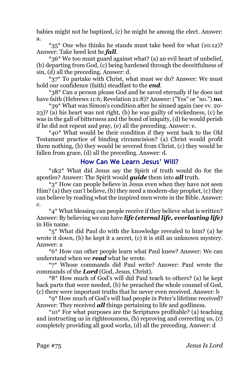babies might not be baptized, (c) he might be among the elect. Answer: a.

\*35\* One who thinks he stands must take heed for what (10:12)? Answer: Take heed lest he *fall*.

\*36\* We too must guard against what? (a) an evil heart of unbelief, (b) departing from God, (c) being hardened through the deceitfulness of sin, (d) all the preceding. Answer: d.

\*37\* To partake with Christ, what must we do? Answer: We must hold our confidence (faith) steadfast to the *end*.

\*38\* Can a person please God and be saved eternally if he does not have faith (Hebrews 11:6; Revelation 21:8)? Answer: ("Yes" or "no.") *no*.

\*39\* What was Simon's condition after he sinned again (see vv. 20- 23)? (a) his heart was not right, (b) he was guilty of wickedness, (c) he was in the gall of bitterness and the bond of iniquity, (d) he would perish if he did not repent and pray, (e) all the preceding. Answer: e.

\*40\* What would be their condition if they went back to the Old Testament practice of binding circumcision? (a) Christ would profit them nothing, (b) they would be severed from Christ, (c) they would be fallen from grace, (d) all the preceding. Answer: d.

# **How Can We Learn Jesus' Will?**

\*1&2\* What did Jesus say the Spirit of truth would do for the apostles? Answer: The Spirit would *guide* them into *all* truth.

\*3\* How can people believe in Jesus even when they have not seen Him? (a) they can't believe, (b) they need a modern-day prophet, (c) they can believe by reading what the inspired men wrote in the Bible. Answer: c.

\*4\* What blessing can people receive if they believe what is written? Answer: By believing we can have *life (eternal life, everlasting life)*  in His name.

\*5\* What did Paul do with the knowledge revealed to him? (a) he wrote it down, (b) he kept it a secret, (c) it is still an unknown mystery. Answer: a

\*6\* How can other people learn what Paul knew? Answer: We can understand when we *read* what he wrote.

\*7\* Whose commands did Paul write? Answer: Paul wrote the commands of the *Lord* (God, Jesus, Christ).

\*8\* How much of God's will did Paul teach to others? (a) he kept back parts that were needed, (b) he preached the whole counsel of God, (c) there were important truths that he never even received. Answer: b

\*9\* How much of God's will had people in Peter's lifetime received? Answer: They received *all* things pertaining to life and godliness.

\*10\* For what purposes are the Scriptures profitable? (a) teaching and instructing us in righteousness, (b) reproving and correcting us, (c) completely providing all good works, (d) all the preceding. Answer: d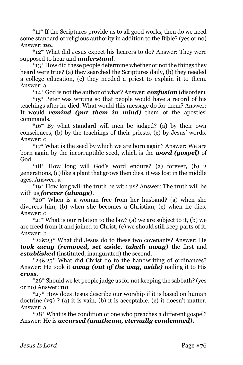\*11\* If the Scriptures provide us to all good works, then do we need some standard of religious authority in addition to the Bible? (yes or no) Answer: *no.*

\*12\* What did Jesus expect his hearers to do? Answer: They were supposed to hear and *understand*.

\*13\* How did these people determine whether or not the things they heard were true? (a) they searched the Scriptures daily, (b) they needed a college education, (c) they needed a priest to explain it to them. Answer: a

\*14\* God is not the author of what? Answer: *confusion* (disorder).

\*15\* Peter was writing so that people would have a record of his teachings after he died. What would this message do for them? Answer: It would *remind (put them in mind)* them of the apostles' commands.

\*16\* By what standard will men be judged? (a) by their own consciences, (b) by the teachings of their priests, (c) by Jesus' words. Answer: c

\*17\* What is the seed by which we are born again? Answer: We are born again by the incorruptible seed, which is the *word (gospel)* of God.

\*18\* How long will God's word endure? (a) forever, (b) 2 generations, (c) like a plant that grows then dies, it was lost in the middle ages. Answer: a

\*19\* How long will the truth be with us? Answer: The truth will be with us *forever (always)*.

\*20\* When is a woman free from her husband? (a) when she divorces him, (b) when she becomes a Christian, (c) when he dies. Answer: c

 $*21*$  What is our relation to the law? (a) we are subject to it, (b) we are freed from it and joined to Christ, (c) we should still keep parts of it. Answer: b

\*22&23\* What did Jesus do to these two covenants? Answer: He *took away (removed, set aside, taketh away)* the first and *established* (instituted, inaugurated) the second.

\*24&25\* What did Christ do to the handwriting of ordinances? Answer: He took it *away (out of the way, aside)* nailing it to His *cross*.

\*26\* Should we let people judge us for not keeping the sabbath? (yes or no) Answer: *no*

\*27\* How does Jesus describe our worship if it is based on human doctrine  $(vq)$  ? (a) it is vain, (b) it is acceptable, (c) it doesn't matter. Answer: a

\*28\* What is the condition of one who preaches a different gospel? Answer: He is *accursed (anathema, eternally condemned).*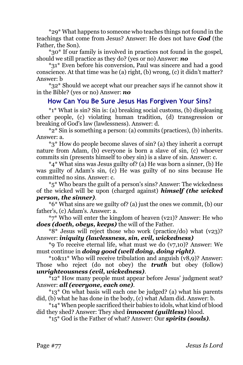\*29\* What happens to someone who teaches things not found in the teachings that come from Jesus? Answer: He does not have *God* (the Father, the Son).

\*30\* If our family is involved in practices not found in the gospel, should we still practice as they do? (yes or no) Answer: *no*

\*31\* Even before his conversion, Paul was sincere and had a good conscience. At that time was he (a) right, (b) wrong, (c) it didn't matter? Answer: b

\*32\* Should we accept what our preacher says if he cannot show it in the Bible? (yes or no) Answer: *no*

#### **How Can You Be Sure Jesus Has Forgiven Your Sins?**

\*1\* What is sin? Sin is: (a) breaking social customs, (b) displeasing other people, (c) violating human tradition, (d) transgression or breaking of God's law (lawlessness). Answer: d.

\*2\* Sin is something a person: (a) commits (practices), (b) inherits. Answer: a.

\*3\* How do people become slaves of sin? (a) they inherit a corrupt nature from Adam, (b) everyone is born a slave of sin, (c) whoever commits sin (presents himself to obey sin) is a slave of sin. Answer: c.

\*4\* What sins was Jesus guilty of? (a) He was born a sinner, (b) He was guilty of Adam's sin, (c) He was guilty of no sins because He committed no sins. Answer: c.

\*5\* Who bears the guilt of a person's sins? Answer: The wickedness of the wicked will be upon (charged against) *himself (the wicked person, the sinner)*.

\*6\* What sins are we guilty of? (a) just the ones we commit, (b) our father's, (c) Adam's. Answer: a.

\*7\* Who will enter the kingdom of heaven (v21)? Answer: He who *does (doeth, obeys, keeps)* the will of the Father.

\*8\* Jesus will reject those who work (practice/do) what (v23)? Answer: *iniquity (lawlessness, sin, evil, wickedness)*

\*9 To receive eternal life, what must we do (v7,10)? Answer: We must continue in *doing good (well doing, doing right)*.

\*10&11\* Who will receive tribulation and anguish (v8,9)? Answer: Those who reject (do not obey) the *truth* but obey (follow) *unrighteousness (evil, wickedness)*.

\*12\* How many people must appear before Jesus' judgment seat? Answer: *all (everyone, each one)*.

\*13\* On what basis will each one be judged? (a) what his parents did, (b) what he has done in the body, (c) what Adam did. Answer: b.

\*14\* When people sacrificed their babies to idols, what kind of blood did they shed? Answer: They shed *innocent (guiltless)* blood.

\*15\* God is the Father of what? Answer: Our *spirits (souls)*.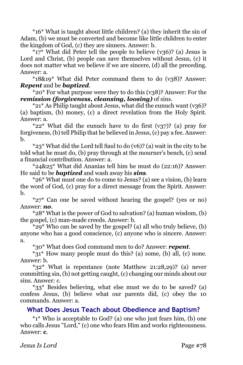\*16\* What is taught about little children? (a) they inherit the sin of Adam, (b) we must be converted and become like little children to enter the kingdom of God, (c) they are sinners. Answer: b.

 $*17*$  What did Peter tell the people to believe (v36)? (a) Jesus is Lord and Christ, (b) people can save themselves without Jesus, (c) it does not matter what we believe if we are sincere, (d) all the preceding. Answer: a.

\*18&19\* What did Peter command them to do (v38)? Answer: *Repent* and be *baptized*.

\*20\* For what purpose were they to do this (v38)? Answer: For the *remission (forgiveness, cleansing, loosing)* of sins.

 $*21*$  As Philip taught about Jesus, what did the eunuch want (v36)? (a) baptism, (b) money, (c) a direct revelation from the Holy Spirit. Answer: a.

 $*22*$  What did the eunuch have to do first (v37)? (a) pray for forgiveness, (b) tell Philip that he believed in Jesus, (c) pay a fee. Answer: b.

\*23\* What did the Lord tell Saul to do (v6)? (a) wait in the city to be told what he must do, (b) pray through at the mourner's bench, (c) send a financial contribution. Answer: a.

\*24&25\* What did Ananias tell him he must do (22:16)? Answer: He said to be *baptized* and wash away his *sins*.

\*26\* What must one do to come to Jesus? (a) see a vision, (b) learn the word of God, (c) pray for a direct message from the Spirit. Answer: b.

\*27\* Can one be saved without hearing the gospel? (yes or no) Answer: *no*.

\*28\* What is the power of God to salvation? (a) human wisdom, (b) the gospel, (c) man-made creeds. Answer: b.

\*29\* Who can be saved by the gospel? (a) all who truly believe, (b) anyone who has a good conscience, (c) anyone who is sincere. Answer: a.

\*30\* What does God command men to do? Answer: *repent*.

\*31\* How many people must do this? (a) some, (b) all, (c) none. Answer: b.

\*32\* What is repentance (note Matthew 21:28,29)? (a) never committing sin, (b) not getting caught, (c) changing our minds about our sins. Answer: c.

\*33\* Besides believing, what else must we do to be saved? (a) confess Jesus, (b) believe what our parents did, (c) obey the 10 commands. Answer: a.

## **What Does Jesus Teach about Obedience and Baptism?**

\*1\* Who is acceptable to God? (a) one who just fears him, (b) one who calls Jesus "Lord," (c) one who fears Him and works righteousness. Answer: **c**.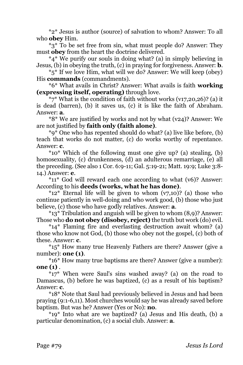\*2\* Jesus is author (source) of salvation to whom? Answer: To all who **obey** Him.

\*3\* To be set free from sin, what must people do? Answer: They must **obey** from the heart the doctrine delivered.

\*4\* We purify our souls in doing what? (a) in simply believing in Jesus, (b) in obeying the truth, (c) in praying for forgiveness. Answer: **b**.

\*5\* If we love Him, what will we do? Answer: We will keep (obey) His **commands** (commandments).

\*6\* What avails in Christ? Answer: What avails is faith **working (expressing itself, operating)** through love.

 $*7*$  What is the condition of faith without works (v17,20,26)? (a) it is dead (barren), (b) it saves us, (c) it is like the faith of Abraham. Answer: **a**.

\*8\* We are justified by works and not by what (v24)? Answer: We are not justified by **faith only (faith alone)**.

\*9\* One who has repented should do what? (a) live like before, (b) teach that works do not matter, (c) do works worthy of repentance. Answer: **c**.

\*10\* Which of the following must one give up? (a) stealing, (b) homosexuality, (c) drunkenness, (d) an adulterous remarriage. (e) all the preceding. (See also 1 Cor. 6:9-11; Gal. 5:19-21; Matt. 19:9; Luke 3:8- 14.) Answer: **e**.

\*11\* God will reward each one according to what (v6)? Answer: According to his **deeds (works, what he has done)**.

 $*12*$  Eternal life will be given to whom  $(v7,10)$ ? (a) those who continue patiently in well-doing and who work good, (b) those who just believe, (c) those who have godly relatives. Answer: **a**.

\*13\* Tribulation and anguish will be given to whom (8,9)? Answer: Those who **do not obey (disobey, reject)** the truth but work (do) evil.

\*14\* Flaming fire and everlasting destruction await whom? (a) those who know not God, (b) those who obey not the gospel, (c) both of these. Answer: **c**.

\*15\* How many true Heavenly Fathers are there? Answer (give a number): **one (1)**.

\*16\* How many true baptisms are there? Answer (give a number): **one (1)** .

\*17\* When were Saul's sins washed away? (a) on the road to Damascus, (b) before he was baptized, (c) as a result of his baptism? Answer: **c**.

\*18\* Note that Saul had previously believed in Jesus and had been praying (9:1-6,11). Most churches would say he was already saved before baptism. But was he? Answer (Yes or No): **no**.

\*19\* Into what are we baptized? (a) Jesus and His death, (b) a particular denomination, (c) a social club. Answer: **a**.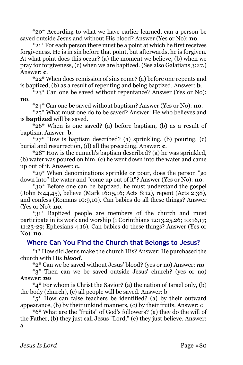\*20\* According to what we have earlier learned, can a person be saved outside Jesus and without His blood? Answer (Yes or No): **no**.

\*21\* For each person there must be a point at which he first receives forgiveness. He is in sin before that point, but afterwards, he is forgiven. At what point does this occur? (a) the moment we believe, (b) when we pray for forgiveness, (c) when we are baptized. (See also Galatians 3:27.) Answer: **c**.

\*22\* When does remission of sins come? (a) before one repents and is baptized, (b) as a result of repenting and being baptized. Answer: **b**.

 $*$ 23\* Can one be saved without repentance? Answer (Yes or No): **no**.

\*24\* Can one be saved without baptism? Answer (Yes or No): **no**.

\*25\* What must one do to be saved? Answer: He who believes and is **baptized** will be saved.

\*26\* When is one saved? (a) before baptism, (b) as a result of baptism. Answer: **b**.

\*27\* How is baptism described? (a) sprinkling, (b) pouring, (c) burial and resurrection, (d) all the preceding. Answer: **c**.

\*28\* How is the eunuch's baptism described? (a) he was sprinkled, (b) water was poured on him, (c) he went down into the water and came up out of it. Answer: **c.**

\*29\* When denominations sprinkle or pour, does the person "go down into" the water and "come up out of it"? Answer (Yes or No): **no**.

\*30\* Before one can be baptized, he must understand the gospel (John 6:44,45), believe (Mark 16:15,16; Acts 8:12), repent (Acts 2:38), and confess (Romans 10:9,10). Can babies do all these things? Answer (Yes or No): **no**.

\*31\* Baptized people are members of the church and must participate in its work and worship (1 Corinthians 12:13,25,26; 10:16,17; 11:23-29; Ephesians 4:16). Can babies do these things? Answer (Yes or No): **no**.

## **Where Can You Find the Church that Belongs to Jesus?**

\*1\* How did Jesus make the church His? Answer: He purchased the church with His *blood*.

\*2\* Can we be saved without Jesus' blood? (yes or no) Answer: *no*

\*3\* Then can we be saved outside Jesus' church? (yes or no) Answer: *no*

\*4\* For whom is Christ the Savior? (a) the nation of Israel only, (b) the body (church), (c) all people will be saved. Answer: b

\*5\* How can false teachers be identified? (a) by their outward appearance, (b) by their unkind manners, (c) by their fruits. Answer: c

\*6\* What are the "fruits" of God's followers? (a) they do the will of the Father, (b) they just call Jesus "Lord," (c) they just believe. Answer: a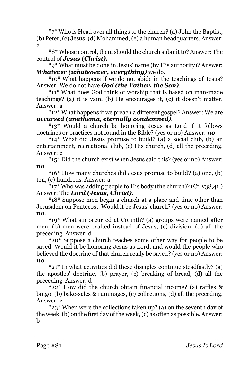\*7\* Who is Head over all things to the church? (a) John the Baptist, (b) Peter, (c) Jesus, (d) Mohammed, (e) a human headquarters. Answer:  $\mathbf{c}$ 

\*8\* Whose control, then, should the church submit to? Answer: The control of *Jesus (Christ).*

\*9\* What must be done in Jesus' name (by His authority)? Answer: *Whatever (whatsoever, everything)* we do.

\*10\* What happens if we do not abide in the teachings of Jesus? Answer: We do not have *God (the Father, the Son)*.

\*11\* What does God think of worship that is based on man-made teachings? (a) it is vain, (b) He encourages it, (c) it doesn't matter. Answer: a

\*12\* What happens if we preach a different gospel? Answer: We are *accursed (anathema, eternally condemned)*.

\*13\* Would a church be honoring Jesus as Lord if it follows doctrines or practices not found in the Bible? (yes or no) Answer: *no*

\*14\* What did Jesus promise to build? (a) a social club, (b) an entertainment, recreational club, (c) His church, (d) all the preceding. Answer: c

\*15\* Did the church exist when Jesus said this? (yes or no) Answer: *no*

\*16\* How many churches did Jesus promise to build? (a) one, (b) ten, (c) hundreds. Answer: a

\*17\* Who was adding people to His body (the church)? (Cf. v38,41.) Answer: The *Lord (Jesus, Christ)*.

\*18\* Suppose men begin a church at a place and time other than Jerusalem on Pentecost. Would it be Jesus' church? (yes or no) Answer: *no*.

\*19\* What sin occurred at Corinth? (a) groups were named after men, (b) men were exalted instead of Jesus, (c) division, (d) all the preceding. Answer: d

\*20\* Suppose a church teaches some other way for people to be saved. Would it be honoring Jesus as Lord, and would the people who believed the doctrine of that church really be saved? (yes or no) Answer: *no*.

\*21\* In what activities did these disciples continue steadfastly? (a) the apostles' doctrine, (b) prayer, (c) breaking of bread, (d) all the preceding. Answer: d

\*22\* How did the church obtain financial income? (a) raffles & bingo, (b) bake-sales & rummages, (c) collections, (d) all the preceding. Answer: c

\*23\* When were the collections taken up? (a) on the seventh day of the week, (b) on the first day of the week, (c) as often as possible. Answer: b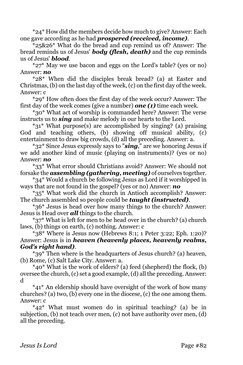\*24\* How did the members decide how much to give? Answer: Each one gave according as he had *prospered (received, income)*.

\*25&26\* What do the bread and cup remind us of? Answer: The bread reminds us of Jesus' *body (flesh, death)* and the cup reminds us of Jesus' *blood*.

\*27\* May we use bacon and eggs on the Lord's table? (yes or no) Answer: *no*

\*28\* When did the disciples break bread? (a) at Easter and Christmas, (b) on the last day of the week,  $(c)$  on the first day of the week. Answer: c

\*29\* How often does the first day of the week occur? Answer: The first day of the week comes (give a number) *one (1)* time each week.

\*30\* What act of worship is commanded here? Answer: The verse instructs us to *sing* and make melody in our hearts to the Lord.

\*31\* What purpose(s) are accomplished by singing? (a) praising God and teaching others, (b) showing off musical ability, (c) entertainment to draw big crowds, (d) all the preceding. Answer: a.

\*32\* Since Jesus expressly says to "*sing*," are we honoring Jesus if we add another kind of music (playing on instruments)? (yes or no) Answer: *no*

\*33\* What error should Christians avoid? Answer: We should not forsake the *assembling (gathering, meeting)* of ourselves together.

\*34\* Would a church be following Jesus as Lord if it worshipped in ways that are not found in the gospel? (yes or no) Answer: *no*

\*35\* What work did the church in Antioch accomplish? Answer: The church assembled so people could be *taught (instructed)*.

\*36\* Jesus is head over how many things to the church? Answer: Jesus is Head over *all* things to the church.

\*37\* What is left for men to be head over in the church? (a) church laws, (b) things on earth, (c) nothing. Answer: c

\*38\* Where is Jesus now (Hebrews 8:1; 1 Peter 3:22; Eph. 1:20)? Answer: Jesus is in *heaven (heavenly places, heavenly realms, God's right hand)*.

\*39\* Then where is the headquarters of Jesus church? (a) heaven, (b) Rome, (c) Salt Lake City. Answer: a.

\*40\* What is the work of elders? (a) feed (shepherd) the flock, (b) oversee the church, (c) set a good example, (d) all the preceding. Answer: d

\*41\* An eldership should have oversight of the work of how many churches? (a) two, (b) every one in the diocese, (c) the one among them. Answer: c

\*42\* What must women do in spiritual teaching? (a) be in subjection, (b) not teach over men, (c) not have authority over men, (d) all the preceding.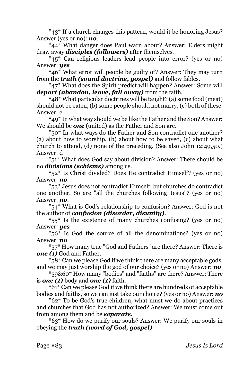\*43\* If a church changes this pattern, would it be honoring Jesus? Answer (yes or no): *no*.

\*44\* What danger does Paul warn about? Answer: Elders might draw away *disciples (followers)* after themselves.

\*45\* Can religious leaders lead people into error? (yes or no) Answer: *yes*

\*46\* What error will people be guilty of? Answer: They may turn from the *truth (sound doctrine, gospel)* and follow fables.

\*47\* What does the Spirit predict will happen? Answer: Some will *depart (abandon, leave, fall away)* from the faith.

\*48\* What particular doctrines will be taught? (a) some food (meat) should not be eaten, (b) some people should not marry, (c) both of these. Answer: c.

\*49\* In what way should we be like the Father and the Son? Answer: We should be *one* (united) as the Father and Son are.

\*50\* In what ways do the Father and Son contradict one another? (a) about how to worship, (b) about how to be saved, (c) about what church to attend, (d) none of the preceding. (See also John 12:49,50.) Answer: d

\*51\* What does God say about division? Answer: There should be no *divisions (schisms)* among us.

\*52\* Is Christ divided? Does He contradict Himself? (yes or no) Answer: *no*.

\*53\* Jesus does not contradict Himself, but churches do contradict one another. So are "all the churches following Jesus"? (yes or no) Answer: *no*.

\*54\* What is God's relationship to confusion? Answer: God is not the author of *confusion (disorder, disunity)*.

\*55\* Is the existence of many churches confusing? (yes or no) Answer: *yes*

\*56\* Is God the source of all the denominations? (yes or no) Answer: *no*

\*57\* How many true "God and Fathers" are there? Answer: There is *one* (1) God and Father.

\*58\* Can we please God if we think there are many acceptable gods, and we may just worship the god of our choice? (yes or no) Answer: *no*

\*59&60\* How many "bodies" and "faiths" are there? Answer: There is *one (1)* body and *one (1)* faith.

\*61\* Can we please God if we think there are hundreds of acceptable bodies and faiths, so we can just take our choice? (yes or no) Answer: *no*

\*62\* To be God's true children, what must we do about practices and churches that God has not authorized? Answer: We must come out from among them and be *separate*.

\*63\* How do we purify our souls? Answer: We purify our souls in obeying the *truth (word of God, gospel)*.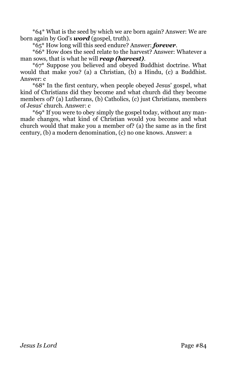\*64\* What is the seed by which we are born again? Answer: We are born again by God's *word* (gospel, truth).

\*65\* How long will this seed endure? Answer: *forever*.

\*66\* How does the seed relate to the harvest? Answer: Whatever a man sows, that is what he will *reap (harvest)*.

\*67\* Suppose you believed and obeyed Buddhist doctrine. What would that make you? (a) a Christian, (b) a Hindu, (c) a Buddhist. Answer: c

\*68\* In the first century, when people obeyed Jesus' gospel, what kind of Christians did they become and what church did they become members of? (a) Lutherans, (b) Catholics, (c) just Christians, members of Jesus' church. Answer: c

\*69\* If you were to obey simply the gospel today, without any manmade changes, what kind of Christian would you become and what church would that make you a member of? (a) the same as in the first century, (b) a modern denomination, (c) no one knows. Answer: a